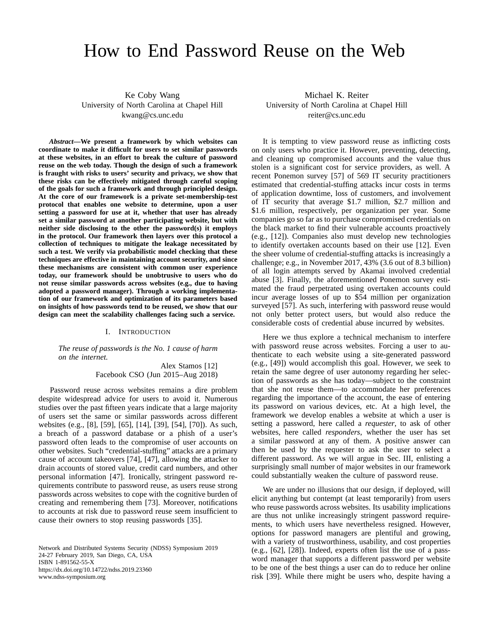# How to End Password Reuse on the Web

Ke Coby Wang University of North Carolina at Chapel Hill kwang@cs.unc.edu

*Abstract***—We present a framework by which websites can coordinate to make it difficult for users to set similar passwords at these websites, in an effort to break the culture of password reuse on the web today. Though the design of such a framework is fraught with risks to users' security and privacy, we show that these risks can be effectively mitigated through careful scoping of the goals for such a framework and through principled design. At the core of our framework is a private set-membership-test protocol that enables one website to determine, upon a user setting a password for use at it, whether that user has already set a similar password at another participating website, but with neither side disclosing to the other the password(s) it employs in the protocol. Our framework then layers over this protocol a collection of techniques to mitigate the leakage necessitated by such a test. We verify via probabilistic model checking that these techniques are effective in maintaining account security, and since these mechanisms are consistent with common user experience today, our framework should be unobtrusive to users who do not reuse similar passwords across websites (e.g., due to having adopted a password manager). Through a working implementation of our framework and optimization of its parameters based on insights of how passwords tend to be reused, we show that our design can meet the scalability challenges facing such a service.**

## I. INTRODUCTION

<span id="page-0-0"></span>*The reuse of passwords is the No. 1 cause of harm on the internet.*

> Alex Stamos [\[12\]](#page-13-0) Facebook CSO (Jun 2015–Aug 2018)

Password reuse across websites remains a dire problem despite widespread advice for users to avoid it. Numerous studies over the past fifteen years indicate that a large majority of users set the same or similar passwords across different websites (e.g., [\[8\]](#page-13-1), [\[59\]](#page-14-0), [\[65\]](#page-14-1), [\[14\]](#page-13-2), [\[39\]](#page-14-2), [\[54\]](#page-14-3), [\[70\]](#page-14-4)). As such, a breach of a password database or a phish of a user's password often leads to the compromise of user accounts on other websites. Such "credential-stuffing" attacks are a primary cause of account takeovers [\[74\]](#page-14-5), [\[47\]](#page-14-6), allowing the attacker to drain accounts of stored value, credit card numbers, and other personal information [\[47\]](#page-14-6). Ironically, stringent password requirements contribute to password reuse, as users reuse strong passwords across websites to cope with the cognitive burden of creating and remembering them [\[73\]](#page-14-7). Moreover, notifications to accounts at risk due to password reuse seem insufficient to cause their owners to stop reusing passwords [\[35\]](#page-14-8).

Network and Distributed Systems Security (NDSS) Symposium 2019 24-27 February 2019, San Diego, CA, USA ISBN 1-891562-55-X https://dx.doi.org/10.14722/ndss.2019.23360 www.ndss-symposium.org

Michael K. Reiter University of North Carolina at Chapel Hill reiter@cs.unc.edu

It is tempting to view password reuse as inflicting costs on only users who practice it. However, preventing, detecting, and cleaning up compromised accounts and the value thus stolen is a significant cost for service providers, as well. A recent Ponemon survey [\[57\]](#page-14-9) of 569 IT security practitioners estimated that credential-stuffing attacks incur costs in terms of application downtime, loss of customers, and involvement of IT security that average \$1.7 million, \$2.7 million and \$1.6 million, respectively, per organization per year. Some companies go so far as to purchase compromised credentials on the black market to find their vulnerable accounts proactively (e.g., [\[12\]](#page-13-0)). Companies also must develop new technologies to identify overtaken accounts based on their use [\[12\]](#page-13-0). Even the sheer volume of credential-stuffing attacks is increasingly a challenge; e.g., in November 2017, 43% (3.6 out of 8.3 billion) of all login attempts served by Akamai involved credential abuse [\[3\]](#page-13-3). Finally, the aforementioned Ponemon survey estimated the fraud perpetrated using overtaken accounts could incur average losses of up to \$54 million per organization surveyed [\[57\]](#page-14-9). As such, interfering with password reuse would not only better protect users, but would also reduce the considerable costs of credential abuse incurred by websites.

Here we thus explore a technical mechanism to interfere with password reuse across websites. Forcing a user to authenticate to each website using a site-generated password (e.g., [\[49\]](#page-14-10)) would accomplish this goal. However, we seek to retain the same degree of user autonomy regarding her selection of passwords as she has today—subject to the constraint that she not reuse them—to accommodate her preferences regarding the importance of the account, the ease of entering its password on various devices, etc. At a high level, the framework we develop enables a website at which a user is setting a password, here called a *requester*, to ask of other websites, here called *responders*, whether the user has set a similar password at any of them. A positive answer can then be used by the requester to ask the user to select a different password. As we will argue in Sec. [III,](#page-2-0) enlisting a surprisingly small number of major websites in our framework could substantially weaken the culture of password reuse.

We are under no illusions that our design, if deployed, will elicit anything but contempt (at least temporarily) from users who reuse passwords across websites. Its usability implications are thus not unlike increasingly stringent password requirements, to which users have nevertheless resigned. However, options for password managers are plentiful and growing, with a variety of trustworthiness, usability, and cost properties (e.g., [\[62\]](#page-14-11), [\[28\]](#page-14-12)). Indeed, experts often list the use of a password manager that supports a different password per website to be one of the best things a user can do to reduce her online risk [\[39\]](#page-14-2). While there might be users who, despite having a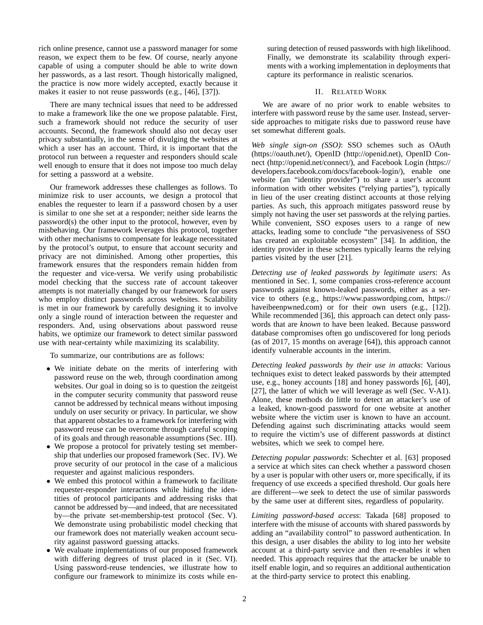rich online presence, cannot use a password manager for some reason, we expect them to be few. Of course, nearly anyone capable of using a computer should be able to write down her passwords, as a last resort. Though historically maligned, the practice is now more widely accepted, exactly because it makes it easier to not reuse passwords (e.g., [\[46\]](#page-14-13), [\[37\]](#page-14-14)).

There are many technical issues that need to be addressed to make a framework like the one we propose palatable. First, such a framework should not reduce the security of user accounts. Second, the framework should also not decay user privacy substantially, in the sense of divulging the websites at which a user has an account. Third, it is important that the protocol run between a requester and responders should scale well enough to ensure that it does not impose too much delay for setting a password at a website.

Our framework addresses these challenges as follows. To minimize risk to user accounts, we design a protocol that enables the requester to learn if a password chosen by a user is similar to one she set at a responder; neither side learns the password(s) the other input to the protocol, however, even by misbehaving. Our framework leverages this protocol, together with other mechanisms to compensate for leakage necessitated by the protocol's output, to ensure that account security and privacy are not diminished. Among other properties, this framework ensures that the responders remain hidden from the requester and vice-versa. We verify using probabilistic model checking that the success rate of account takeover attempts is not materially changed by our framework for users who employ distinct passwords across websites. Scalability is met in our framework by carefully designing it to involve only a single round of interaction between the requester and responders. And, using observations about password reuse habits, we optimize our framework to detect similar password use with near-certainty while maximizing its scalability.

To summarize, our contributions are as follows:

- We initiate debate on the merits of interfering with password reuse on the web, through coordination among websites. Our goal in doing so is to question the zeitgeist in the computer security community that password reuse cannot be addressed by technical means without imposing unduly on user security or privacy. In particular, we show that apparent obstacles to a framework for interfering with password reuse can be overcome through careful scoping of its goals and through reasonable assumptions (Sec. [III\)](#page-2-0).
- We propose a protocol for privately testing set membership that underlies our proposed framework (Sec. [IV\)](#page-3-0). We prove security of our protocol in the case of a malicious requester and against malicious responders.
- We embed this protocol within a framework to facilitate requester-responder interactions while hiding the identities of protocol participants and addressing risks that cannot be addressed by—and indeed, that are necessitated by—the private set-membership-test protocol (Sec. [V\)](#page-5-0). We demonstrate using probabilistic model checking that our framework does not materially weaken account security against password guessing attacks.
- We evaluate implementations of our proposed framework with differing degrees of trust placed in it (Sec. [VI\)](#page-9-0). Using password-reuse tendencies, we illustrate how to configure our framework to minimize its costs while en-

suring detection of reused passwords with high likelihood. Finally, we demonstrate its scalability through experiments with a working implementation in deployments that capture its performance in realistic scenarios.

# II. RELATED WORK

We are aware of no prior work to enable websites to interfere with password reuse by the same user. Instead, serverside approaches to mitigate risks due to password reuse have set somewhat different goals.

*Web single sign-on (SSO)*: SSO schemes such as OAuth [\(https://oauth.net/\)](https://oauth.net/), OpenID [\(http://openid.net\)](http://openid.net), OpenID Connect [\(http://openid.net/connect/\)](http://openid.net/connect/), and Facebook Login [\(https://](https://developers.facebook.com/docs/facebook-login/) [developers.facebook.com/docs/facebook-login/\)](https://developers.facebook.com/docs/facebook-login/), enable one website (an "identity provider") to share a user's account information with other websites ("relying parties"), typically in lieu of the user creating distinct accounts at those relying parties. As such, this approach mitigates password reuse by simply not having the user set passwords at the relying parties. While convenient, SSO exposes users to a range of new attacks, leading some to conclude "the pervasiveness of SSO has created an exploitable ecosystem" [\[34\]](#page-14-15). In addition, the identity provider in these schemes typically learns the relying parties visited by the user [\[21\]](#page-13-4).

*Detecting use of leaked passwords by legitimate users*: As mentioned in Sec. [I,](#page-0-0) some companies cross-reference account passwords against known-leaked passwords, either as a service to others (e.g., [https://www.passwordping.com,](https://www.passwordping.com) [https://](https://haveibeenpwned.com) [haveibeenpwned.com\)](https://haveibeenpwned.com) or for their own users (e.g., [\[12\]](#page-13-0)). While recommended [\[36\]](#page-14-16), this approach can detect only passwords that are *known* to have been leaked. Because password database compromises often go undiscovered for long periods (as of 2017, 15 months on average [\[64\]](#page-14-17)), this approach cannot identify vulnerable accounts in the interim.

*Detecting leaked passwords by their use in attacks*: Various techniques exist to detect leaked passwords by their attempted use, e.g., honey accounts [\[18\]](#page-13-5) and honey passwords [\[6\]](#page-13-6), [\[40\]](#page-14-18), [\[27\]](#page-14-19), the latter of which we will leverage as well (Sec. [V-A1\)](#page-6-0). Alone, these methods do little to detect an attacker's use of a leaked, known-good password for one website at another website where the victim user is known to have an account. Defending against such discriminating attacks would seem to require the victim's use of different passwords at distinct websites, which we seek to compel here.

*Detecting popular passwords*: Schechter et al. [\[63\]](#page-14-20) proposed a service at which sites can check whether a password chosen by a user is popular with other users or, more specifically, if its frequency of use exceeds a specified threshold. Our goals here are different—we seek to detect the use of similar passwords by the same user at different sites, regardless of popularity.

*Limiting password-based access*: Takada [\[68\]](#page-14-21) proposed to interfere with the misuse of accounts with shared passwords by adding an "availability control" to password authentication. In this design, a user disables the ability to log into her website account at a third-party service and then re-enables it when needed. This approach requires that the attacker be unable to itself enable login, and so requires an additional authentication at the third-party service to protect this enabling.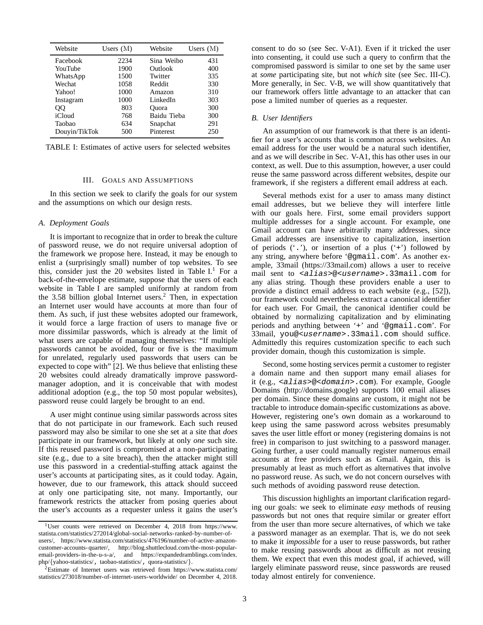<span id="page-2-1"></span>

| Website       | Users $(M)$ | Website     | Users $(M)$ |
|---------------|-------------|-------------|-------------|
| Facebook      | 2234        | Sina Weibo  | 431         |
| YouTube       | 1900        | Outlook     | 400         |
| WhatsApp      | 1500        | Twitter     | 335         |
| Wechat        | 1058        | Reddit      | 330         |
| Yahoo!        | 1000        | Amazon      | 310         |
| Instagram     | 1000        | LinkedIn    | 303         |
| QQ            | 803         | Ouora       | 300         |
| iCloud        | 768         | Baidu Tieba | 300         |
| Taobao        | 634         | Snapchat    | 291         |
| Douyin/TikTok | 500         | Pinterest   | 250         |

TABLE I: Estimates of active users for selected websites

## III. GOALS AND ASSUMPTIONS

<span id="page-2-0"></span>In this section we seek to clarify the goals for our system and the assumptions on which our design rests.

## *A. Deployment Goals*

It is important to recognize that in order to break the culture of password reuse, we do not require universal adoption of the framework we propose here. Instead, it may be enough to enlist a (surprisingly small) number of top websites. To see this, consider just the 20 websites listed in Table  $I<sup>1</sup>$  $I<sup>1</sup>$  $I<sup>1</sup>$  For a back-of-the-envelope estimate, suppose that the users of each website in Table [I](#page-2-1) are sampled uniformly at random from the  $3.58$  billion global Internet users.<sup>[2](#page-2-3)</sup> Then, in expectation an Internet user would have accounts at more than four of them. As such, if just these websites adopted our framework, it would force a large fraction of users to manage five or more dissimilar passwords, which is already at the limit of what users are capable of managing themselves: "If multiple passwords cannot be avoided, four or five is the maximum for unrelated, regularly used passwords that users can be expected to cope with" [\[2\]](#page-13-7). We thus believe that enlisting these 20 websites could already dramatically improve passwordmanager adoption, and it is conceivable that with modest additional adoption (e.g., the top 50 most popular websites), password reuse could largely be brought to an end.

A user might continue using similar passwords across sites that do not participate in our framework. Each such reused password may also be similar to one she set at a site that *does* participate in our framework, but likely at only *one* such site. If this reused password is compromised at a non-participating site (e.g., due to a site breach), then the attacker might still use this password in a credential-stuffing attack against the user's accounts at participating sites, as it could today. Again, however, due to our framework, this attack should succeed at only one participating site, not many. Importantly, our framework restricts the attacker from posing queries about the user's accounts as a requester unless it gains the user's consent to do so (see Sec. [V-A1\)](#page-6-0). Even if it tricked the user into consenting, it could use such a query to confirm that the compromised password is similar to one set by the same user at *some* participating site, but not *which* site (see Sec. [III-C\)](#page-3-1). More generally, in Sec. [V-B,](#page-7-0) we will show quantitatively that our framework offers little advantage to an attacker that can pose a limited number of queries as a requester.

## *B. User Identifiers*

An assumption of our framework is that there is an identifier for a user's accounts that is common across websites. An email address for the user would be a natural such identifier, and as we will describe in Sec. [V-A1,](#page-6-0) this has other uses in our context, as well. Due to this assumption, however, a user could reuse the same password across different websites, despite our framework, if she registers a different email address at each.

Several methods exist for a user to amass many distinct email addresses, but we believe they will interfere little with our goals here. First, some email providers support multiple addresses for a single account. For example, one Gmail account can have arbitrarily many addresses, since Gmail addresses are insensitive to capitalization, insertion of periods  $(1)$ , or insertion of a plus  $(2)$  followed by any string, anywhere before '@gmail.com'. As another example, 33mail [\(https://33mail.com\)](https://33mail.com) allows a user to receive mail sent to <alias>@<username>.33mail.com for any alias string. Though these providers enable a user to provide a distinct email address to each website (e.g., [\[52\]](#page-14-22)), our framework could nevertheless extract a canonical identifier for each user. For Gmail, the canonical identifier could be obtained by normalizing capitalization and by eliminating periods and anything between '+' and '@gmail.com'. For 33mail, you@<username>.33mail.com should suffice. Admittedly this requires customization specific to each such provider domain, though this customization is simple.

Second, some hosting services permit a customer to register a domain name and then support many email aliases for it (e.g., <alias>@<domain>.com). For example, Google Domains [\(http://domains.google\)](http://domains.google) supports 100 email aliases per domain. Since these domains are custom, it might not be tractable to introduce domain-specific customizations as above. However, registering one's own domain as a workaround to keep using the same password across websites presumably saves the user little effort or money (registering domains is not free) in comparison to just switching to a password manager. Going further, a user could manually register numerous email accounts at free providers such as Gmail. Again, this is presumably at least as much effort as alternatives that involve no password reuse. As such, we do not concern ourselves with such methods of avoiding password reuse detection.

This discussion highlights an important clarification regarding our goals: we seek to eliminate *easy* methods of reusing passwords but not ones that require similar or greater effort from the user than more secure alternatives, of which we take a password manager as an exemplar. That is, we do not seek to make it *impossible* for a user to reuse passwords, but rather to make reusing passwords about as difficult as not reusing them. We expect that even this modest goal, if achieved, will largely eliminate password reuse, since passwords are reused today almost entirely for convenience.

<span id="page-2-2"></span><sup>1</sup>User counts were retrieved on December 4, 2018 from [https://www.](https://www.statista.com/statistics/272014/global-social-networks-ranked-by-number-of-users/) [statista.com/statistics/272014/global-social-networks-ranked-by-number-of](https://www.statista.com/statistics/272014/global-social-networks-ranked-by-number-of-users/)[users/,](https://www.statista.com/statistics/272014/global-social-networks-ranked-by-number-of-users/) [https://www.statista.com/statistics/476196/number-of-active-amazon](https://www.statista.com/statistics/476196/number-of-active-amazon-customer-accounts-quarter/)[customer-accounts-quarter/,](https://www.statista.com/statistics/476196/number-of-active-amazon-customer-accounts-quarter/) [http://blog.shuttlecloud.com/the-most-popular](http://blog.shuttlecloud.com/the-most-popular-email-providers-in-the-u-s-a/)[email-providers-in-the-u-s-a/,](http://blog.shuttlecloud.com/the-most-popular-email-providers-in-the-u-s-a/) and [https://expandedramblings.com/index.](https://expandedramblings.com/index.php/) [php/](https://expandedramblings.com/index.php/){[yahoo-statistics/](https://expandedramblings.com/index.php/yahoo-statistics/), [taobao-statistics/](https://expandedramblings.com/index.php/taobao-statistics/), [quora-statistics/](https://expandedramblings.com/index.php/quora-statistics/)}.

<span id="page-2-3"></span><sup>2</sup>Estimate of Internet users was retrieved from [https://www.statista.com/](https://www.statista.com/statistics/273018/number-of-internet-users-worldwide/) [statistics/273018/number-of-internet-users-worldwide/](https://www.statista.com/statistics/273018/number-of-internet-users-worldwide/) on December 4, 2018.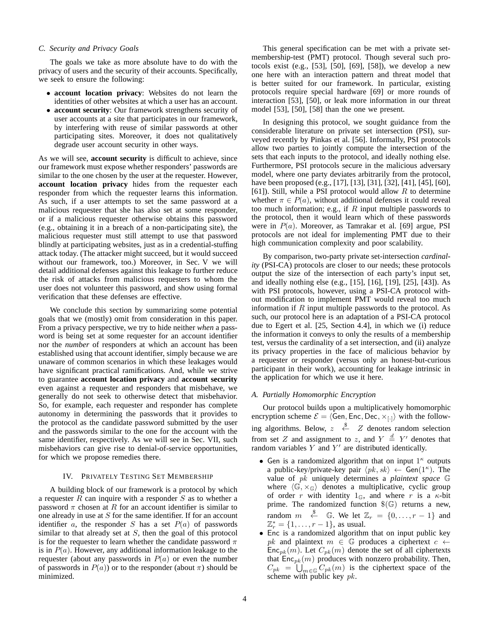#### <span id="page-3-1"></span>*C. Security and Privacy Goals*

The goals we take as more absolute have to do with the privacy of users and the security of their accounts. Specifically, we seek to ensure the following:

- **account location privacy**: Websites do not learn the identities of other websites at which a user has an account.
- **account security**: Our framework strengthens security of user accounts at a site that participates in our framework, by interfering with reuse of similar passwords at other participating sites. Moreover, it does not qualitatively degrade user account security in other ways.

As we will see, **account security** is difficult to achieve, since our framework must expose whether responders' passwords are similar to the one chosen by the user at the requester. However, **account location privacy** hides from the requester each responder from which the requester learns this information. As such, if a user attempts to set the same password at a malicious requester that she has also set at some responder, or if a malicious requester otherwise obtains this password (e.g., obtaining it in a breach of a non-participating site), the malicious requester must still attempt to use that password blindly at participating websites, just as in a credential-stuffing attack today. (The attacker might succeed, but it would succeed without our framework, too.) Moreover, in Sec. [V](#page-5-0) we will detail additional defenses against this leakage to further reduce the risk of attacks from malicious requesters to whom the user does not volunteer this password, and show using formal verification that these defenses are effective.

We conclude this section by summarizing some potential goals that we (mostly) omit from consideration in this paper. From a privacy perspective, we try to hide neither *when* a password is being set at some requester for an account identifier nor the *number* of responders at which an account has been established using that account identifier, simply because we are unaware of common scenarios in which these leakages would have significant practical ramifications. And, while we strive to guarantee **account location privacy** and **account security** even against a requester and responders that misbehave, we generally do not seek to otherwise detect that misbehavior. So, for example, each requester and responder has complete autonomy in determining the passwords that it provides to the protocol as the candidate password submitted by the user and the passwords similar to the one for the account with the same identifier, respectively. As we will see in Sec. [VII,](#page-12-0) such misbehaviors can give rise to denial-of-service opportunities, for which we propose remedies there.

# IV. PRIVATELY TESTING SET MEMBERSHIP

<span id="page-3-0"></span>A building block of our framework is a protocol by which a requester  $R$  can inquire with a responder  $S$  as to whether a password  $\pi$  chosen at R for an account identifier is similar to one already in use at  $S$  for the same identifier. If for an account identifier a, the responder S has a set  $P(a)$  of passwords similar to that already set at  $S$ , then the goal of this protocol is for the requester to learn whether the candidate password  $\pi$ is in  $P(a)$ . However, any additional information leakage to the requester (about any passwords in  $P(a)$  or even the number of passwords in  $P(a)$ ) or to the responder (about  $\pi$ ) should be minimized.

This general specification can be met with a private setmembership-test (PMT) protocol. Though several such protocols exist (e.g., [\[53\]](#page-14-23), [\[50\]](#page-14-24), [\[69\]](#page-14-25), [\[58\]](#page-14-26)), we develop a new one here with an interaction pattern and threat model that is better suited for our framework. In particular, existing protocols require special hardware [\[69\]](#page-14-25) or more rounds of interaction [\[53\]](#page-14-23), [\[50\]](#page-14-24), or leak more information in our threat model [\[53\]](#page-14-23), [\[50\]](#page-14-24), [\[58\]](#page-14-26) than the one we present.

In designing this protocol, we sought guidance from the considerable literature on private set intersection (PSI), surveyed recently by Pinkas et al. [\[56\]](#page-14-27). Informally, PSI protocols allow two parties to jointly compute the intersection of the sets that each inputs to the protocol, and ideally nothing else. Furthermore, PSI protocols secure in the malicious adversary model, where one party deviates arbitrarily from the protocol, have been proposed (e.g., [\[17\]](#page-13-8), [\[13\]](#page-13-9), [\[31\]](#page-14-28), [\[32\]](#page-14-29), [\[41\]](#page-14-30), [\[45\]](#page-14-31), [\[60\]](#page-14-32), [\[61\]](#page-14-33)). Still, while a PSI protocol would allow  $R$  to determine whether  $\pi \in P(a)$ , without additional defenses it could reveal too much information; e.g., if  $R$  input multiple passwords to the protocol, then it would learn which of these passwords were in P(a). Moreover, as Tamrakar et al. [\[69\]](#page-14-25) argue, PSI protocols are not ideal for implementing PMT due to their high communication complexity and poor scalability.

By comparison, two-party private set-intersection *cardinality* (PSI-CA) protocols are closer to our needs; these protocols output the size of the intersection of each party's input set, and ideally nothing else (e.g., [\[15\]](#page-13-10), [\[16\]](#page-13-11), [\[19\]](#page-13-12), [\[25\]](#page-14-34), [\[43\]](#page-14-35)). As with PSI protocols, however, using a PSI-CA protocol without modification to implement PMT would reveal too much information if  $R$  input multiple passwords to the protocol. As such, our protocol here is an adaptation of a PSI-CA protocol due to Egert et al. [\[25,](#page-14-34) Section 4.4], in which we (i) reduce the information it conveys to only the results of a membership test, versus the cardinality of a set intersection, and (ii) analyze its privacy properties in the face of malicious behavior by a requester or responder (versus only an honest-but-curious participant in their work), accounting for leakage intrinsic in the application for which we use it here.

#### *A. Partially Homomorphic Encryption*

Our protocol builds upon a multiplicatively homomorphic encryption scheme  $\mathcal{E} = \langle \mathbf{\hat{G}}en, \mathbf{Enc}, \mathbf{Dec}, \times_{\lceil \cdot \rceil} \rangle$  with the following algorithms. Below,  $z \stackrel{\$}{\leftarrow} Z$  denotes random selection from set Z and assignment to z, and  $Y \stackrel{d}{=} Y'$  denotes that random variables  $Y$  and  $Y'$  are distributed identically.

- Gen is a randomized algorithm that on input  $1^{\kappa}$  outputs a public-key/private-key pair  $\langle pk, sk \rangle \leftarrow$  Gen(1<sup> $\kappa$ </sup>). The value of pk uniquely determines a *plaintext space* G where  $\langle \mathbb{G}, \times_{\mathbb{G}} \rangle$  denotes a multiplicative, cyclic group of order r with identity  $1\text{C}$ , and where r is a  $\kappa$ -bit prime. The randomized function  $\Im(\mathbb{G})$  returns a new, random  $m \stackrel{\$}{\leftarrow} \mathbb{G}$ . We let  $\mathbb{Z}_r = \{0, \ldots, r-1\}$  and  $\mathbb{Z}_{r}^{*} = \{1, ..., r - 1\}$ , as usual.
- Enc is a randomized algorithm that on input public key pk and plaintext  $m \in \mathbb{G}$  produces a ciphertext  $c \leftarrow$  $Enc_{pk}(m)$ . Let  $C_{pk}(m)$  denote the set of all ciphertexts that  $\mathsf{Enc}_{pk}(m)$  produces with nonzero probability. Then,  $C_{pk} = \bigcup_{m \in \mathbb{G}} C_{pk}(m)$  is the ciphertext space of the scheme with public key  $pk$ .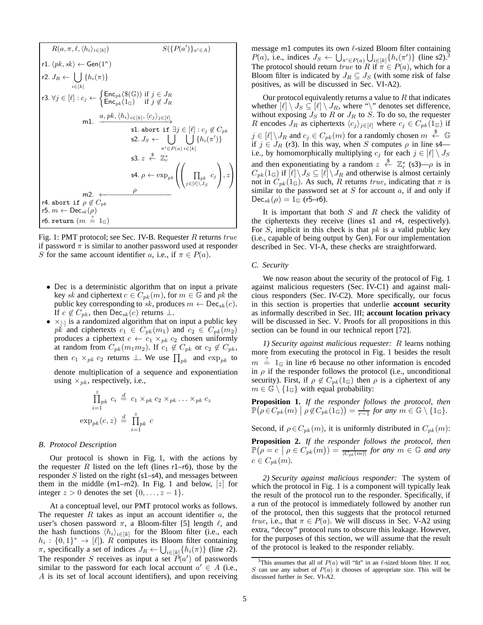<span id="page-4-11"></span><span id="page-4-8"></span><span id="page-4-6"></span><span id="page-4-2"></span><span id="page-4-1"></span>
$$
R(a, \pi, \ell, \langle h_i \rangle_{i \in [k]}) \qquad S(\lbrace P(a') \rbrace_{a' \in A})
$$
\n
$$
r1. \langle pk, sk \rangle \leftarrow Gen(1^{\kappa})
$$
\n
$$
r2. J_R \leftarrow \bigcup_{i \in [k]} \lbrace h_i(\pi) \rbrace
$$
\n
$$
r3. \forall j \in [\ell] : c_j \leftarrow \left\{ Enc_{pk}(\$(\mathbb{G}\text{)}$ if } j \in J_R
$$
\n
$$
m1. \quad \frac{a, pk, \langle h_i \rangle_{i \in [k]}, \langle c_j \rangle_{j \in [\ell]}}{\text{s1. abort if } \exists j \in [\ell] : c_j \notin C_{pk}}
$$
\n
$$
s2. J_S \leftarrow \bigcup_{\pi' \in P(a)} \bigcup_{i \in [k]} \lbrace h_i(\pi') \rbrace
$$
\n
$$
s3. z \stackrel{\$}{\leftarrow} \mathbb{Z}_r^*
$$
\n
$$
s4. \rho \leftarrow \exp_{pk} \left( \left( \prod_{j \in [\ell] \setminus J_S} c_j \right), z \right)
$$
\n
$$
r4. abort if \rho \notin C_{pk}
$$
\n
$$
r5. m \leftarrow Dec_{sk}(\rho)
$$
\n
$$
r6. return (m \stackrel{?}{=} 1_{\mathbb{G}})
$$

<span id="page-4-14"></span><span id="page-4-13"></span><span id="page-4-12"></span><span id="page-4-7"></span><span id="page-4-5"></span><span id="page-4-3"></span>Fig. 1: PMT protocol; see Sec. [IV-B.](#page-4-0) Requester R returns true if password  $\pi$  is similar to another password used at responder S for the same account identifier a, i.e., if  $\pi \in P(a)$ .

- Dec is a deterministic algorithm that on input a private key sk and ciphertext  $c \in C_{pk}(m)$ , for  $m \in \mathbb{G}$  and  $pk$  the public key corresponding to sk, produces  $m \leftarrow \mathsf{Dec}_{sk}(c)$ . If  $c \notin C_{pk}$ , then Dec<sub>sk</sub> $(c)$  returns  $\perp$ .
- $\times_{[-]}$  is a randomized algorithm that on input a public key  $pk$  and ciphertexts  $c_1 \in C_{pk}(m_1)$  and  $c_2 \in C_{pk}(m_2)$ produces a ciphertext  $c \leftarrow c_1 \times_{pk} c_2$  chosen uniformly at random from  $C_{pk}(m_1m_2)$ . If  $c_1 \notin C_{pk}$  or  $c_2 \notin C_{pk}$ , then  $c_1 \times_{pk} c_2$  returns  $\perp$ . We use  $\prod_{pk}$  and  $\exp_{pk}$  to

denote multiplication of a sequence and exponentiation using  $\times_{pk}$ , respectively, i.e.,

$$
\prod_{i=1}^{z} p_k \ c_i \stackrel{d}{=} c_1 \times_{pk} c_2 \times_{pk} \ldots \times_{pk} c_z
$$

$$
\exp_{pk}(c, z) \stackrel{d}{=} \prod_{i=1}^{z} p_k \ c
$$

#### <span id="page-4-0"></span>*B. Protocol Description*

Our protocol is shown in Fig. [1,](#page-4-1) with the actions by the requester R listed on the left (lines  $r1-r6$  $r1-r6$  $r1-r6$ ), those by the responder  $S$  listed on the right ([s1](#page-4-4)-[s4](#page-4-5)), and messages between them in the middle ([m1](#page-4-6)–[m2](#page-4-7)). In Fig. [1](#page-4-1) and below,  $[z]$  for integer  $z > 0$  denotes the set  $\{0, \ldots, z - 1\}.$ 

At a conceptual level, our PMT protocol works as follows. The requester  $R$  takes as input an account identifier  $a$ , the user's chosen password  $\pi$ , a Bloom-filter [\[5\]](#page-13-13) length  $\ell$ , and the hash functions  $\langle h_i \rangle_{i \in [k]}$  for the Bloom filter (i.e., each  $h_i: \{0,1\}^* \to [\ell]$ ). R computes its Bloom filter containing  $\pi$ , specifically a set of indices  $J_R \leftarrow \bigcup_{i \in [k]} \{h_i(\pi)\}\$  (line [r2](#page-4-8)). The responder S receives as input a set  $P(a')$  of passwords similar to the password for each local account  $a' \in A$  (i.e., A is its set of local account identifiers), and upon receiving message [m1](#page-4-6) computes its own  $\ell$ -sized Bloom filter containing  $P(a)$ , i.e., indices  $J_S \leftarrow \bigcup_{\pi' \in P(a)} \bigcup_{i \in [k]} \{h_i(\pi')\}$  (line [s2](#page-4-9)).<sup>[3](#page-4-10)</sup> The protocol should return true to R if  $\pi \in P(a)$ , which for a Bloom filter is indicated by  $J_R \subseteq J_S$  (with some risk of false positives, as will be discussed in Sec. [VI-A2\)](#page-9-1).

<span id="page-4-9"></span><span id="page-4-4"></span>Our protocol equivalently returns a value to  $R$  that indicates whether  $[\ell] \setminus J_S \subseteq [\ell] \setminus J_R$ , where "\" denotes set difference, without exposing  $J_S$  to R or  $J_R$  to S. To do so, the requester R encodes  $J_R$  as ciphertexts  $\langle c_j \rangle_{j \in [\ell]}$  where  $c_j \in C_{pk} (1_{\mathbb{G}})$  if  $j \in [\ell] \setminus J_R$  and  $c_j \in C_{pk}(m)$  for a randomly chosen  $m \stackrel{\$}{\leftarrow} \mathbb{G}$ if  $j \in J_R$  ([r3](#page-4-11)). In this way, when S computes  $\rho$  in line [s4](#page-4-5) i.e., by homomorphically multiplying  $c_j$  for each  $j \in [\ell] \setminus J_S$ and then exponentiating by a random  $z \stackrel{\$}{\leftarrow} \mathbb{Z}_r^*$  ([s3](#page-4-12))— $\rho$  is in  $C_{pk}(1_{\mathbb{G}})$  if  $[\ell] \setminus J_S \subseteq [\ell] \setminus J_R$  and otherwise is almost certainly not in  $C_{pk}(1_G)$ . As such, R returns true, indicating that  $\pi$  is similar to the password set at  $S$  for account  $a$ , if and only if  $Dec_{sk}(\rho) = 1_{\mathbb{G}}$  ([r5](#page-4-13)–[r6](#page-4-3)).

It is important that both  $S$  and  $R$  check the validity of the ciphertexts they receive (lines [s1](#page-4-4) and [r4](#page-4-14), respectively). For  $S$ , implicit in this check is that  $pk$  is a valid public key (i.e., capable of being output by Gen). For our implementation described in Sec. [VI-A,](#page-9-2) these checks are straightforward.

## *C. Security*

We now reason about the security of the protocol of Fig. [1](#page-4-1) against malicious requesters (Sec. [IV-C1\)](#page-4-15) and against malicious responders (Sec. [IV-C2\)](#page-4-16). More specifically, our focus in this section is properties that underlie **account security** as informally described in Sec. [III;](#page-2-0) **account location privacy** will be discussed in Sec. [V.](#page-5-0) Proofs for all propositions in this section can be found in our technical report [\[72\]](#page-14-36).

<span id="page-4-15"></span>*1) Security against malicious requester:* R learns nothing more from executing the protocol in Fig. [1](#page-4-1) besides the result  $m \stackrel{?}{=} 1_G$  in line [r6](#page-4-3) because no other information is encoded in  $\rho$  if the responder follows the protocol (i.e., unconditional security). First, if  $\rho \notin C_{pk}(1_{\mathbb{G}})$  then  $\rho$  is a ciphertext of any  $m \in \mathbb{G} \setminus \{1_{\mathbb{G}}\}$  with equal probability:

<span id="page-4-17"></span>**Proposition 1.** *If the responder follows the protocol, then*  $\mathbb{P}\big(\rho \in C_{pk}(m) \mid \rho \notin C_{pk}(1\widehat{\mathbb{G}})\big) = \frac{1}{r-1}$  for any  $m \in \mathbb{G} \setminus \{1\mathbb{G}\}.$ 

Second, if  $\rho \in C_{pk}(m)$ , it is uniformly distributed in  $C_{pk}(m)$ :

<span id="page-4-18"></span>**Proposition 2.** *If the responder follows the protocol, then*  $\mathbb{P}(\rho = c \mid \rho \in C_{pk}(m)) = \frac{1}{|C_{pk}(m)|}$  for any  $m \in \mathbb{G}$  and any  $c \in C_{pk}(m)$ .

<span id="page-4-16"></span>*2) Security against malicious responder:* The system of which the protocol in Fig. [1](#page-4-1) is a component will typically leak the result of the protocol run to the responder. Specifically, if a run of the protocol is immediately followed by another run of the protocol, then this suggests that the protocol returned true, i.e., that  $\pi \in P(a)$ . We will discuss in Sec. [V-A2](#page-7-1) using extra, "decoy" protocol runs to obscure this leakage. However, for the purposes of this section, we will assume that the result of the protocol is leaked to the responder reliably.

<span id="page-4-10"></span><sup>&</sup>lt;sup>3</sup>This assumes that all of  $P(a)$  will "fit" in an  $\ell$ -sized bloom filter. If not,  $S$  can use any subset of  $P(a)$  it chooses of appropriate size. This will be discussed further in Sec. [VI-A2.](#page-9-1)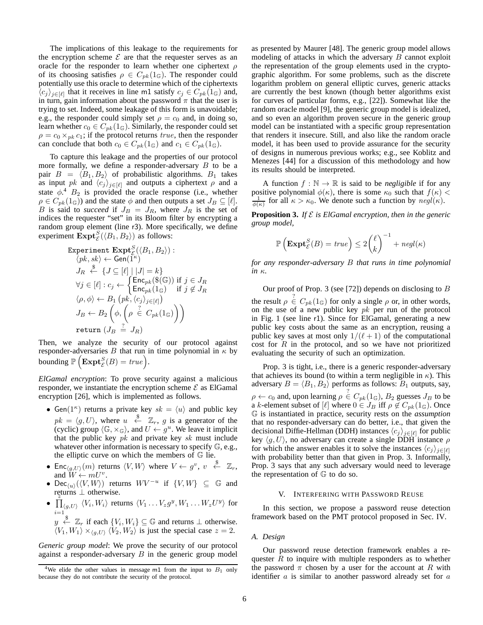The implications of this leakage to the requirements for the encryption scheme  $\mathcal E$  are that the requester serves as an oracle for the responder to learn whether one ciphertext  $\rho$ of its choosing satisfies  $\rho \in C_{pk}(1_{\mathbb{G}})$ . The responder could potentially use this oracle to determine which of the ciphertexts  $\langle c_j \rangle_{j \in [\ell]}$  that it receives in line [m1](#page-4-6) satisfy  $c_j \in C_{pk}(1 \text{G})$  and, in turn, gain information about the password  $\pi$  that the user is trying to set. Indeed, some leakage of this form is unavoidable; e.g., the responder could simply set  $\rho = c_0$  and, in doing so, learn whether  $c_0 \in C_{pk}(1_{\mathbb{G}})$ . Similarly, the responder could set  $\rho = c_0 \times_{pk} c_1$ ; if the protocol returns true, then the responder can conclude that both  $c_0 \in C_{pk}(1 \oplus \mathbb{C})$  and  $c_1 \in C_{pk}(1 \oplus \mathbb{C})$ .

To capture this leakage and the properties of our protocol more formally, we define a responder-adversary  $B$  to be a pair  $B = \langle B_1, B_2 \rangle$  of probabilistic algorithms.  $B_1$  takes as input pk and  $\langle c_j \rangle_{j \in [\ell]}$  and outputs a ciphertext  $\rho$  and a state  $\phi$ <sup>[4](#page-5-1)</sup>  $B_2$  is provided the oracle response (i.e., whether  $\rho \in C_{pk}(1_{\mathbb{G}})$  and the state  $\phi$  and then outputs a set  $J_B \subseteq [\ell]$ . B is said to *succeed* if  $J_B = J_R$ , where  $J_R$  is the set of indices the requester "set" in its Bloom filter by encrypting a random group element (line [r3](#page-4-11)). More specifically, we define experiment  $\text{Expt}_{\mathcal{E}}^S(\langle B_1, B_2 \rangle)$  as follows:

$$
\begin{array}{l} \text { Experiment \;}\mathbf{Expt}_{\mathcal{E}}^{S}(\langle B_1,B_2\rangle): \\ \langle pk, sk\rangle \leftarrow \mathbf{Gen}(1^{\kappa}) \\ J_R \overset{\$}{\leftarrow} \{J\subseteq [\ell]\; |\; |J|=k\} \\ \forall j\in [\ell]: c_j \leftarrow \begin{cases} \mathbf{Enc}_{pk}(\$(\mathbb{G}\text{)}$) \; \text{if} \; j\in J_R \\ \mathbf{Enc}_{pk}(\mathbf{1}_{\mathbb{G}}) \quad \text{if} \; j\not\in J_R \\ \langle \rho, \phi \rangle \leftarrow B_1\left(pk, \langle c_j \rangle_{j\in [\ell]}\right) \end{cases} \\ J_B \leftarrow B_2\left(\phi, \begin{pmatrix} \frac{7}{\ell} \; C_{pk}(\mathbf{1}_{\mathbb{G}}) \end{pmatrix}\right)\right) \\ \text{return } (J_B \overset{?}{=} J_R) \end{array}
$$

Then, we analyze the security of our protocol against responder-adversaries B that run in time polynomial in  $\kappa$  by bounding  $\mathbb{P}\left(\mathbf{Expt}_{\mathcal{E}}^S(B)=\mathit{true}\right)$ .

*ElGamal encryption*: To prove security against a malicious responder, we instantiate the encryption scheme  $\mathcal E$  as ElGamal encryption [\[26\]](#page-14-37), which is implemented as follows.

- Gen( $1^{\kappa}$ ) returns a private key  $sk = \langle u \rangle$  and public key  $pk = \langle g, U \rangle$ , where  $u \leftarrow^{\$} \mathbb{Z}_r$ , g is a generator of the (cyclic) group  $\langle \mathbb{G}, \times_{\mathbb{G}} \rangle$ , and  $U \leftarrow g^u$ . We leave it implicit that the public key  $pk$  and private key  $sk$  must include whatever other information is necessary to specify G, e.g., the elliptic curve on which the members of  $G$  lie.
- Enc<sub> $\langle g, U \rangle$ </sub> $(m)$  returns  $\langle V, W \rangle$  where  $V \leftarrow g^v, v \stackrel{\$}{\leftarrow} \mathbb{Z}_r$ , and  $W \leftarrow mU^v$ .
- Dec<sub> $\langle u \rangle$ </sub> $(\langle V, W \rangle)$  returns  $W V^{-u}$  if  $\{V, W\} \subseteq \mathbb{G}$  and returns ⊥ otherwise.
- $\prod_{\langle g,U\rangle}^{\infty} \langle V_i, W_i \rangle$  returns  $\langle V_1 \dots V_z g^y, W_1 \dots W_z U^y \rangle$  for  $i=1$
- $y \stackrel{\$}{\leftarrow} \mathbb{Z}_r$  if each  $\{V_i, W_i\} \subseteq \mathbb{G}$  and returns  $\perp$  otherwise.  $\langle V_1, W_1 \rangle \times_{\langle g, U \rangle} \langle V_2, W_2 \rangle$  is just the special case  $z = 2$ .

*Generic group model*: We prove the security of our protocol against a responder-adversary  $B$  in the generic group model as presented by Maurer [\[48\]](#page-14-38). The generic group model allows modeling of attacks in which the adversary  $B$  cannot exploit the representation of the group elements used in the cryptographic algorithm. For some problems, such as the discrete logarithm problem on general elliptic curves, generic attacks are currently the best known (though better algorithms exist for curves of particular forms, e.g., [\[22\]](#page-14-39)). Somewhat like the random oracle model [\[9\]](#page-13-14), the generic group model is idealized, and so even an algorithm proven secure in the generic group model can be instantiated with a specific group representation that renders it insecure. Still, and also like the random oracle model, it has been used to provide assurance for the security of designs in numerous previous works; e.g., see Koblitz and Menezes [\[44\]](#page-14-40) for a discussion of this methodology and how its results should be interpreted.

A function  $f : \mathbb{N} \to \mathbb{R}$  is said to be *negligible* if for any positive polynomial  $\phi(\kappa)$ , there is some  $\kappa_0$  such that  $f(\kappa)$  <  $\frac{1}{\phi(\kappa)}$  for all  $\kappa > \kappa_0$ . We denote such a function by  $negl(\kappa)$ .

<span id="page-5-2"></span>**Proposition 3.** *If*  $\mathcal{E}$  *is ElGamal encryption, then in the generic group model,*

$$
\mathbb{P}\left(\mathbf{Expt}_{\mathcal{E}}^S(B) = true\right) \le 2\binom{\ell}{k}^{-1} + negl(\kappa)
$$

*for any responder-adversary* B *that runs in time polynomial in* κ*.*

Our proof of Prop. [3](#page-5-2) (see [\[72\]](#page-14-36)) depends on disclosing to  $B$ the result  $\rho \stackrel{?}{\in} C_{pk}(1 \oplus)$  for only a single  $\rho$  or, in other words, on the use of a new public key  $pk$  per run of the protocol in Fig. [1](#page-4-1) (see line [r1](#page-4-2)). Since for ElGamal, generating a new public key costs about the same as an encryption, reusing a public key saves at most only  $1/(\ell+1)$  of the computational cost for  $R$  in the protocol, and so we have not prioritized evaluating the security of such an optimization.

Prop. [3](#page-5-2) is tight, i.e., there is a generic responder-adversary that achieves its bound (to within a term negligible in  $\kappa$ ). This adversary  $B = \langle B_1, B_2 \rangle$  performs as follows:  $B_1$  outputs, say,  $\rho \leftarrow c_0$  and, upon learning  $\rho \stackrel{?}{\in} C_{pk}(1_G)$ ,  $B_2$  guesses  $J_B$  to be a k-element subset of [ $\ell$ ] where  $0 \in J_B$  iff  $\rho \notin C_{pk}(1 \oplus)$ . Once G is instantiated in practice, security rests on the *assumption* that no responder-adversary can do better, i.e., that given the decisional Diffie-Hellman (DDH) instances  $\langle c_j \rangle_{j \in [\ell]}$  for public key  $\langle g, U \rangle$ , no adversary can create a single DDH instance  $\rho$ for which the answer enables it to solve the instances  $\langle c_i \rangle_{i \in [\ell]}$ with probability better than that given in Prop. [3.](#page-5-2) Informally, Prop. [3](#page-5-2) says that any such adversary would need to leverage the representation of G to do so.

## V. INTERFERING WITH PASSWORD REUSE

<span id="page-5-0"></span>In this section, we propose a password reuse detection framework based on the PMT protocol proposed in Sec. [IV.](#page-3-0)

# <span id="page-5-3"></span>*A. Design*

Our password reuse detection framework enables a requester  $R$  to inquire with multiple responders as to whether the password  $\pi$  chosen by a user for the account at R with identifier  $a$  is similar to another password already set for  $a$ 

<span id="page-5-1"></span><sup>&</sup>lt;sup>4</sup>We elide the other values in message [m1](#page-4-6) from the input to  $B_1$  only because they do not contribute the security of the protocol.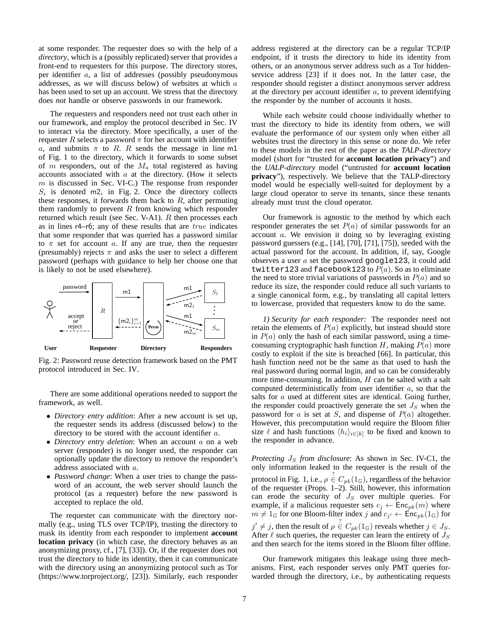at some responder. The requester does so with the help of a *directory*, which is a (possibly replicated) server that provides a front-end to requesters for this purpose. The directory stores, per identifier a, a list of addresses (possibly pseudonymous addresses, as we will discuss below) of websites at which a has been used to set up an account. We stress that the directory does *not* handle or observe passwords in our framework.

The requesters and responders need not trust each other in our framework, and employ the protocol described in Sec. [IV](#page-3-0) to interact via the directory. More specifically, a user of the requester  $R$  selects a password  $\pi$  for her account with identifier a, and submits  $\pi$  to R. R sends the message in line [m1](#page-4-6) of Fig. [1](#page-4-1) to the directory, which it forwards to some subset of m responders, out of the  $M_a$  total registered as having accounts associated with  $a$  at the directory. (How it selects  $m$  is discussed in Sec. [VI-C.](#page-11-0)) The response from responder  $S_i$  is denoted [m2](#page-4-7)<sub>i</sub> in Fig. [2.](#page-6-1) Once the directory collects these responses, it forwards them back to  $R$ , after permuting them randomly to prevent  $R$  from knowing which responder returned which result (see Sec. [V-A1\)](#page-6-0).  $R$  then processes each as in lines [r4](#page-4-14)–[r6](#page-4-3); any of these results that are true indicates that some responder that was queried has a password similar to  $\pi$  set for account a. If any are true, then the requester (presumably) rejects  $\pi$  and asks the user to select a different password (perhaps with guidance to help her choose one that is likely to not be used elsewhere).

<span id="page-6-1"></span>

Fig. 2: Password reuse detection framework based on the PMT protocol introduced in Sec. [IV.](#page-3-0)

There are some additional operations needed to support the framework, as well.

- *Directory entry addition*: After a new account is set up, the requester sends its address (discussed below) to the directory to be stored with the account identifier a.
- *Directory entry deletion*: When an account a on a web server (responder) is no longer used, the responder can optionally update the directory to remove the responder's address associated with a.
- *Password change*: When a user tries to change the password of an account, the web server should launch the protocol (as a requester) before the new password is accepted to replace the old.

The requester can communicate with the directory normally (e.g., using TLS over TCP/IP), trusting the directory to mask its identity from each responder to implement **account location privacy** (in which case, the directory behaves as an anonymizing proxy, cf., [\[7\]](#page-13-15), [\[33\]](#page-14-41)). Or, if the requester does not trust the directory to hide its identity, then it can communicate with the directory using an anonymizing protocol such as Tor [\(https://www.torproject.org/,](https://www.torproject.org/) [\[23\]](#page-14-42)). Similarly, each responder address registered at the directory can be a regular TCP/IP endpoint, if it trusts the directory to hide its identity from others, or an anonymous server address such as a Tor hiddenservice address [\[23\]](#page-14-42) if it does not. In the latter case, the responder should register a distinct anonymous server address at the directory per account identifier  $a$ , to prevent identifying the responder by the number of accounts it hosts.

While each website could choose individually whether to trust the directory to hide its identity from others, we will evaluate the performance of our system only when either all websites trust the directory in this sense or none do. We refer to these models in the rest of the paper as the *TALP-directory* model (short for "trusted for **account location privacy**") and the *UALP-directory* model ("untrusted for **account location privacy**"), respectively. We believe that the TALP-directory model would be especially well-suited for deployment by a large cloud operator to serve its tenants, since these tenants already must trust the cloud operator.

Our framework is agnostic to the method by which each responder generates the set  $P(a)$  of similar passwords for an account a. We envision it doing so by leveraging existing password guessers (e.g., [\[14\]](#page-13-2), [\[70\]](#page-14-4), [\[71\]](#page-14-43), [\[75\]](#page-14-44)), seeded with the actual password for the account. In addition, if, say, Google observes a user  $a$  set the password google123, it could add twitter123 and facebook123 to  $P(a)$ . So as to eliminate the need to store trivial variations of passwords in  $P(a)$  and so reduce its size, the responder could reduce all such variants to a single canonical form, e.g., by translating all capital letters to lowercase, provided that requesters know to do the same.

<span id="page-6-0"></span>*1) Security for each responder:* The responder need not retain the elements of  $P(a)$  explicitly, but instead should store in  $P(a)$  only the hash of each similar password, using a timeconsuming cryptographic hash function H, making  $P(a)$  more costly to exploit if the site is breached [\[66\]](#page-14-45). In particular, this hash function need not be the same as that used to hash the real password during normal login, and so can be considerably more time-consuming. In addition,  $H$  can be salted with a salt computed deterministically from user identifier a, so that the salts for  $\alpha$  used at different sites are identical. Going further, the responder could proactively generate the set  $J<sub>S</sub>$  when the password for a is set at S, and dispense of  $P(a)$  altogether. However, this precomputation would require the Bloom filter size  $\ell$  and hash functions  $\langle h_i \rangle_{i \in [k]}$  to be fixed and known to the responder in advance.

*Protecting*  $J_S$  *from disclosure*: As shown in Sec. [IV-C1,](#page-4-15) the only information leaked to the requester is the result of the protocol in Fig. [1,](#page-4-1) i.e.,  $\rho \in C_{pk}(1_G)$ , regardless of the behavior of the requester (Props. [1](#page-4-17)[–2\)](#page-4-18). Still, however, this information can erode the security of  $J<sub>S</sub>$  over multiple queries. For example, if a malicious requester sets  $c_j \leftarrow \text{Enc}_{pk}(m)$  where  $m \neq 1_G$  for one Bloom-filter index j and  $c_{j'} \leftarrow \text{Enc}_{pk}(1_G)$  for  $j' \neq j$ , then the result of  $\rho \stackrel{?}{\in} C_{pk}(1_{\mathbb{G}})$  reveals whether  $j \in J_S$ . After  $\ell$  such queries, the requester can learn the entirety of  $J<sub>S</sub>$ and then search for the items stored in the Bloom filter offline.

Our framework mitigates this leakage using three mechanisms. First, each responder serves only PMT queries forwarded through the directory, i.e., by authenticating requests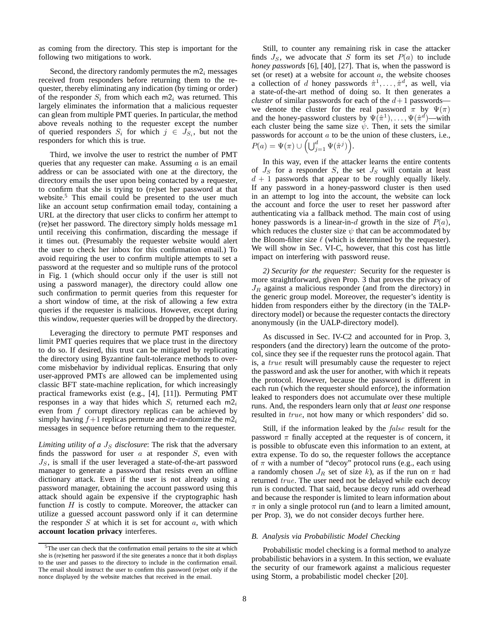as coming from the directory. This step is important for the following two mitigations to work.

Second, the directory randomly permutes the  $m_2$  messages received from responders before returning them to the requester, thereby eliminating any indication (by timing or order) of the responder  $S_i$  from which each [m2](#page-4-7)<sub>i</sub> was returned. This largely eliminates the information that a malicious requester can glean from multiple PMT queries. In particular, the method above reveals nothing to the requester except the number of queried responders  $S_i$  for which  $j \in J_{S_i}$ , but not the responders for which this is true.

Third, we involve the user to restrict the number of PMT queries that any requester can make. Assuming  $\alpha$  is an email address or can be associated with one at the directory, the directory emails the user upon being contacted by a requester, to confirm that she is trying to (re)set her password at that website.<sup>[5](#page-7-2)</sup> This email could be presented to the user much like an account setup confirmation email today, containing a URL at the directory that user clicks to confirm her attempt to (re)set her password. The directory simply holds message [m1](#page-4-6) until receiving this confirmation, discarding the message if it times out. (Presumably the requester website would alert the user to check her inbox for this confirmation email.) To avoid requiring the user to confirm multiple attempts to set a password at the requester and so multiple runs of the protocol in Fig. [1](#page-4-1) (which should occur only if the user is still not using a password manager), the directory could allow one such confirmation to permit queries from this requester for a short window of time, at the risk of allowing a few extra queries if the requester is malicious. However, except during this window, requester queries will be dropped by the directory.

Leveraging the directory to permute PMT responses and limit PMT queries requires that we place trust in the directory to do so. If desired, this trust can be mitigated by replicating the directory using Byzantine fault-tolerance methods to overcome misbehavior by individual replicas. Ensuring that only user-approved PMTs are allowed can be implemented using classic BFT state-machine replication, for which increasingly practical frameworks exist (e.g., [\[4\]](#page-13-16), [\[11\]](#page-13-17)). Permuting PMT responses in a way that hides which  $S_i$  returned each [m2](#page-4-7)<sub>i</sub> even from  $f$  corrupt directory replicas can be achieved by simply having  $f+1$  replicas permute and re-randomize the [m2](#page-4-7)<sub>i</sub> messages in sequence before returning them to the requester.

*Limiting utility of a*  $J<sub>S</sub>$  *disclosure*: The risk that the adversary finds the password for user  $a$  at responder  $S$ , even with  $J<sub>S</sub>$ , is small if the user leveraged a state-of-the-art password manager to generate a password that resists even an offline dictionary attack. Even if the user is not already using a password manager, obtaining the account password using this attack should again be expensive if the cryptographic hash function  $H$  is costly to compute. Moreover, the attacker can utilize a guessed account password only if it can determine the responder  $S$  at which it is set for account  $a$ , with which **account location privacy** interferes.

Still, to counter any remaining risk in case the attacker finds  $J<sub>S</sub>$ , we advocate that S form its set  $P(a)$  to include *honey passwords* [\[6\]](#page-13-6), [\[40\]](#page-14-18), [\[27\]](#page-14-19). That is, when the password is set (or reset) at a website for account  $a$ , the website chooses a collection of d honey passwords  $\hat{\pi}^1, \dots, \hat{\pi}^d$ , as well, via a state-of-the-art method of doing so. It then generates a *cluster* of similar passwords for each of the  $d+1$  passwords we denote the cluster for the real password  $\pi$  by  $\Psi(\pi)$ and the honey-password clusters by  $\Psi(\hat{\pi}^1), \dots, \Psi(\hat{\pi}^d)$ —with each cluster being the same size  $\psi$ . Then, it sets the similar passwords for account  $a$  to be the union of these clusters, i.e.,  $P(a) = \Psi(\pi) \cup \left( \bigcup_{j=1}^d \Psi(\hat{\pi}^j) \right).$ 

In this way, even if the attacker learns the entire contents of  $J_S$  for a responder S, the set  $J_S$  will contain at least  $d + 1$  passwords that appear to be roughly equally likely. If any password in a honey-password cluster is then used in an attempt to log into the account, the website can lock the account and force the user to reset her password after authenticating via a fallback method. The main cost of using honey passwords is a linear-in-d growth in the size of  $P(a)$ , which reduces the cluster size  $\psi$  that can be accommodated by the Bloom-filter size  $\ell$  (which is determined by the requester). We will show in Sec. [VI-C,](#page-11-0) however, that this cost has little impact on interfering with password reuse.

<span id="page-7-1"></span>*2) Security for the requester:* Security for the requester is more straightforward, given Prop. [3](#page-5-2) that proves the privacy of  $J_R$  against a malicious responder (and from the directory) in the generic group model. Moreover, the requester's identity is hidden from responders either by the directory (in the TALPdirectory model) or because the requester contacts the directory anonymously (in the UALP-directory model).

As discussed in Sec. [IV-C2](#page-4-16) and accounted for in Prop. [3,](#page-5-2) responders (and the directory) learn the outcome of the protocol, since they see if the requester runs the protocol again. That is, a true result will presumably cause the requester to reject the password and ask the user for another, with which it repeats the protocol. However, because the password is different in each run (which the requester should enforce), the information leaked to responders does not accumulate over these multiple runs. And, the responders learn only that *at least one* response resulted in *true*, not how many or which responders' did so.

Still, if the information leaked by the *false* result for the password  $\pi$  finally accepted at the requester is of concern, it is possible to obfuscate even this information to an extent, at extra expense. To do so, the requester follows the acceptance of  $\pi$  with a number of "decoy" protocol runs (e.g., each using a randomly chosen  $J_R$  set of size k), as if the run on  $\pi$  had returned true. The user need not be delayed while each decoy run is conducted. That said, because decoy runs add overhead and because the responder is limited to learn information about  $\pi$  in only a single protocol run (and to learn a limited amount, per Prop. [3\)](#page-5-2), we do not consider decoys further here.

## <span id="page-7-0"></span>*B. Analysis via Probabilistic Model Checking*

Probabilistic model checking is a formal method to analyze probabilistic behaviors in a system. In this section, we evaluate the security of our framework against a malicious requester using Storm, a probabilistic model checker [\[20\]](#page-13-18).

<span id="page-7-2"></span><sup>5</sup>The user can check that the confirmation email pertains to the site at which she is (re)setting her password if the site generates a nonce that it both displays to the user and passes to the directory to include in the confirmation email. The email should instruct the user to confirm this password (re)set only if the nonce displayed by the website matches that received in the email.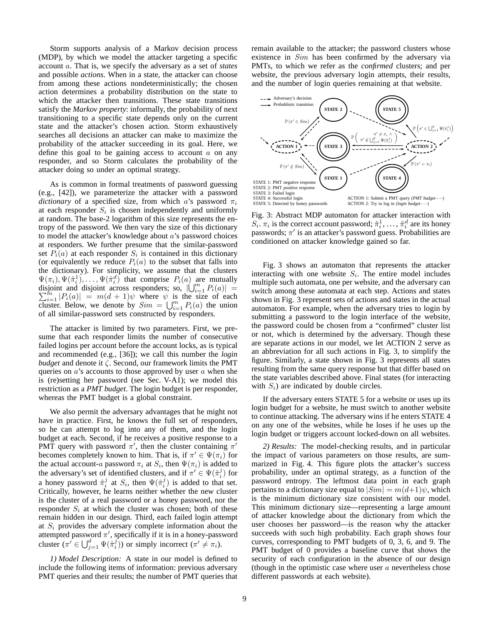Storm supports analysis of a Markov decision process (MDP), by which we model the attacker targeting a specific account a. That is, we specify the adversary as a set of *states* and possible *actions*. When in a state, the attacker can choose from among these actions nondeterministically; the chosen action determines a probability distribution on the state to which the attacker then transitions. These state transitions satisfy the *Markov property*: informally, the probability of next transitioning to a specific state depends only on the current state and the attacker's chosen action. Storm exhaustively searches all decisions an attacker can make to maximize the probability of the attacker succeeding in its goal. Here, we define this goal to be gaining access to account  $a$  on any responder, and so Storm calculates the probability of the attacker doing so under an optimal strategy.

As is common in formal treatments of password guessing (e.g., [\[42\]](#page-14-46)), we parameterize the attacker with a password *dictionary* of a specified size, from which a's password  $\pi_i$ at each responder  $S_i$  is chosen independently and uniformly at random. The base-2 logarithm of this size represents the entropy of the password. We then vary the size of this dictionary to model the attacker's knowledge about  $a$ 's password choices at responders. We further presume that the similar-password set  $P_i(a)$  at each responder  $S_i$  is contained in this dictionary (or equivalently we reduce  $P_i(a)$  to the subset that falls into the dictionary). For simplicity, we assume that the clusters  $\Psi(\pi_i), \Psi(\hat{\pi}_i^1), \dots, \Psi(\hat{\pi}_i^d)$  that comprise  $P_i(a)$  are mutually disjoint and disjoint across responders; so,  $\left|\bigcup_{i=1}^{m} P_i(a)\right| =$  $\sum_{i=1}^{m} |P_i(a)| = m(d+1)\psi$  where  $\psi$  is the size of each cluster. Below, we denote by  $Sim = \bigcup_{i=1}^{m} P_i(a)$  the union of all similar-password sets constructed by responders.

The attacker is limited by two parameters. First, we presume that each responder limits the number of consecutive failed logins per account before the account locks, as is typical and recommended (e.g., [\[36\]](#page-14-16)); we call this number the *login budget* and denote it ζ. Second, our framework limits the PMT queries on  $a$ 's accounts to those approved by user  $a$  when she is (re)setting her password (see Sec. [V-A1\)](#page-6-0); we model this restriction as a *PMT budget*. The login budget is per responder, whereas the PMT budget is a global constraint.

We also permit the adversary advantages that he might not have in practice. First, he knows the full set of responders, so he can attempt to log into any of them, and the login budget at each. Second, if he receives a positive response to a PMT query with password  $\pi'$ , then the cluster containing  $\pi'$ becomes completely known to him. That is, if  $\pi' \in \Psi(\pi_i)$  for the actual account-a password  $\pi_i$  at  $S_i$ , then  $\Psi(\pi_i)$  is added to the adversary's set of identified clusters, and if  $\pi' \in \Psi(\hat{\pi}_i^j)$  for a honey password  $\hat{\pi}_i^j$  at  $S_i$ , then  $\Psi(\hat{\pi}_i^j)$  is added to that set. Critically, however, he learns neither whether the new cluster is the cluster of a real password or a honey password, nor the responder  $S_i$  at which the cluster was chosen; both of these remain hidden in our design. Third, each failed login attempt at  $S_i$  provides the adversary complete information about the attempted password  $\pi'$ , specifically if it is in a honey-password cluster  $(\pi' \in \bigcup_{j=1}^d \Psi(\hat{\pi}_i^j))$  or simply incorrect  $(\pi' \neq \pi_i)$ .

*1) Model Description:* A state in our model is defined to include the following items of information: previous adversary PMT queries and their results; the number of PMT queries that remain available to the attacker; the password clusters whose existence in *Sim* has been confirmed by the adversary via PMTs, to which we refer as the *confirmed* clusters; and per website, the previous adversary login attempts, their results, and the number of login queries remaining at that website.

<span id="page-8-0"></span>

Fig. 3: Abstract MDP automaton for attacker interaction with  $S_i$ .  $\pi_i$  is the correct account password;  $\hat{\pi}_i^1, \ldots, \hat{\pi}_i^d$  are its honey passwords; π ′ is an attacker's password guess. Probabilities are conditioned on attacker knowledge gained so far.

Fig. [3](#page-8-0) shows an automaton that represents the attacker interacting with one website  $S_i$ . The entire model includes multiple such automata, one per website, and the adversary can switch among these automata at each step. Actions and states shown in Fig. [3](#page-8-0) represent sets of actions and states in the actual automaton. For example, when the adversary tries to login by submitting a password to the login interface of the website, the password could be chosen from a "confirmed" cluster list or not, which is determined by the adversary. Though these are separate actions in our model, we let ACTION 2 serve as an abbreviation for all such actions in Fig. [3,](#page-8-0) to simplify the figure. Similarly, a state shown in Fig. [3](#page-8-0) represents all states resulting from the same query response but that differ based on the state variables described above. Final states (for interacting with  $S_i$ ) are indicated by double circles.

If the adversary enters STATE 5 for a website or uses up its login budget for a website, he must switch to another website to continue attacking. The adversary wins if he enters STATE 4 on any one of the websites, while he loses if he uses up the login budget or triggers account locked-down on all websites.

*2) Results:* The model-checking results, and in particular the impact of various parameters on those results, are summarized in Fig. [4.](#page-9-3) This figure plots the attacker's success probability, under an optimal strategy, as a function of the password entropy. The leftmost data point in each graph pertains to a dictionary size equal to  $|Sim| = m(d+1)\psi$ , which is the minimum dictionary size consistent with our model. This minimum dictionary size—representing a large amount of attacker knowledge about the dictionary from which the user chooses her password—is the reason why the attacker succeeds with such high probability. Each graph shows four curves, corresponding to PMT budgets of 0, 3, 6, and 9. The PMT budget of 0 provides a baseline curve that shows the security of each configuration in the absence of our design (though in the optimistic case where user  $a$  nevertheless chose different passwords at each website).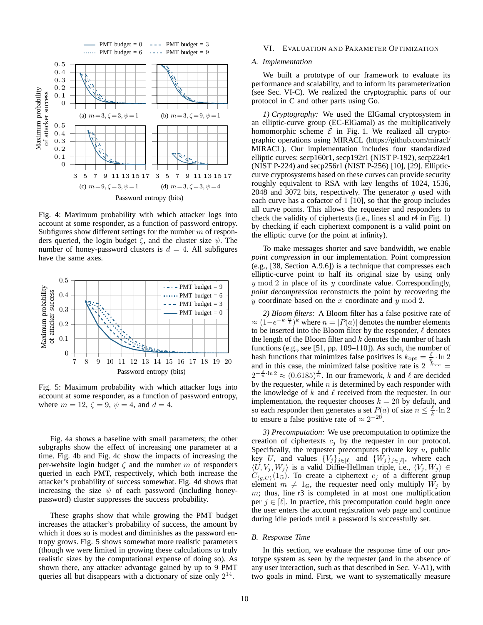<span id="page-9-3"></span>

Fig. 4: Maximum probability with which attacker logs into account at some responder, as a function of password entropy. Subfigures show different settings for the number  $m$  of responders queried, the login budget  $\zeta$ , and the cluster size  $\psi$ . The number of honey-password clusters is  $d = 4$ . All subfigures have the same axes.

<span id="page-9-4"></span>

Fig. 5: Maximum probability with which attacker logs into account at some responder, as a function of password entropy, where  $m = 12$ ,  $\zeta = 9$ ,  $\psi = 4$ , and  $d = 4$ .

Fig. [4a](#page-9-3) shows a baseline with small parameters; the other subgraphs show the effect of increasing one parameter at a time. Fig. [4b](#page-9-3) and Fig. [4c](#page-9-3) show the impacts of increasing the per-website login budget  $\zeta$  and the number m of responders queried in each PMT, respectively, which both increase the attacker's probability of success somewhat. Fig. [4d](#page-9-3) shows that increasing the size  $\psi$  of each password (including honeypassword) cluster suppresses the success probability.

These graphs show that while growing the PMT budget increases the attacker's probability of success, the amount by which it does so is modest and diminishes as the password entropy grows. Fig. [5](#page-9-4) shows somewhat more realistic parameters (though we were limited in growing these calculations to truly realistic sizes by the computational expense of doing so). As shown there, any attacker advantage gained by up to 9 PMT queries all but disappears with a dictionary of size only  $2^{14}$ .

## <span id="page-9-2"></span><span id="page-9-0"></span>VI. EVALUATION AND PARAMETER OPTIMIZATION

## *A. Implementation*

We built a prototype of our framework to evaluate its performance and scalability, and to inform its parameterization (see Sec. [VI-C\)](#page-11-0). We realized the cryptographic parts of our protocol in C and other parts using Go.

*1) Cryptography:* We used the ElGamal cryptosystem in an elliptic-curve group (EC-ElGamal) as the multiplicatively homomorphic scheme  $\mathcal E$  in Fig. [1.](#page-4-1) We realized all cryptographic operations using MIRACL [\(https://github.com/miracl/](https://github.com/miracl/MIRACL) [MIRACL\)](https://github.com/miracl/MIRACL). Our implementation includes four standardized elliptic curves: secp160r1, secp192r1 (NIST P-192), secp224r1 (NIST P-224) and secp256r1 (NIST P-256) [\[10\]](#page-13-19), [\[29\]](#page-14-47). Ellipticcurve cryptosystems based on these curves can provide security roughly equivalent to RSA with key lengths of 1024, 1536, 2048 and 3072 bits, respectively. The generator  $g$  used with each curve has a cofactor of 1 [\[10\]](#page-13-19), so that the group includes all curve points. This allows the requester and responders to check the validity of ciphertexts (i.e., lines [s1](#page-4-4) and [r4](#page-4-14) in Fig. [1\)](#page-4-1) by checking if each ciphertext component is a valid point on the elliptic curve (or the point at infinity).

To make messages shorter and save bandwidth, we enable *point compression* in our implementation. Point compression (e.g., [\[38,](#page-14-48) Section A.9.6]) is a technique that compresses each elliptic-curve point to half its original size by using only  $y \mod 2$  in place of its  $y$  coordinate value. Correspondingly, *point decompression* reconstructs the point by recovering the y coordinate based on the x coordinate and y mod 2.

<span id="page-9-1"></span>*2) Bloom filters:* A Bloom filter has a false positive rate of  $\approx (1-e^{-k\cdot\frac{n}{\ell}})^k$  where  $n=|P(a)|$  denotes the number elements to be inserted into the Bloom filter by the responder,  $\ell$  denotes the length of the Bloom filter and  $k$  denotes the number of hash functions (e.g., see [\[51,](#page-14-49) pp. 109–110]). As such, the number of hash functions that minimizes false positives is  $k_{\text{opt}} = \frac{\ell}{n} \cdot \ln 2$ and in this case, the minimized false positive rate is  $2^{-k_{\text{opt}}} =$  $2^{-\frac{\ell}{n}\cdot \ln 2} \approx (0.6185)^{\frac{\ell}{n}}$ . In our framework, k and  $\ell$  are decided by the requester, while  $n$  is determined by each responder with the knowledge of k and  $\ell$  received from the requester. In our implementation, the requester chooses  $k = 20$  by default, and so each responder then generates a set  $P(\alpha)$  of size  $n \leq \frac{\ell}{k} \cdot \ln 2$ to ensure a false positive rate of  $\approx 2^{-20}$ .

<span id="page-9-5"></span>*3) Precomputation:* We use precomputation to optimize the creation of ciphertexts  $c_i$  by the requester in our protocol. Specifically, the requester precomputes private key  $u$ , public key U, and values  $\{V_j\}_{j\in[\ell]}$  and  $\{W_j\}_{j\in[\ell]}$ , where each  $\langle U, V_j, W_j \rangle$  is a valid Diffie-Hellman triple, i.e.,  $\langle V_j, W_j \rangle \in$  $C_{\langle q,U\rangle}(1_{\mathbb{G}})$ . To create a ciphertext  $c_j$  of a different group element  $m \neq 1_{\mathbb{G}}$ , the requester need only multiply  $W_i$  by  $m$ ; thus, line [r3](#page-4-11) is completed in at most one multiplication per  $j \in [\ell]$ . In practice, this precomputation could begin once the user enters the account registration web page and continue during idle periods until a password is successfully set.

# <span id="page-9-6"></span>*B. Response Time*

In this section, we evaluate the response time of our prototype system as seen by the requester (and in the absence of any user interaction, such as that described in Sec. [V-A1\)](#page-6-0), with two goals in mind. First, we want to systematically measure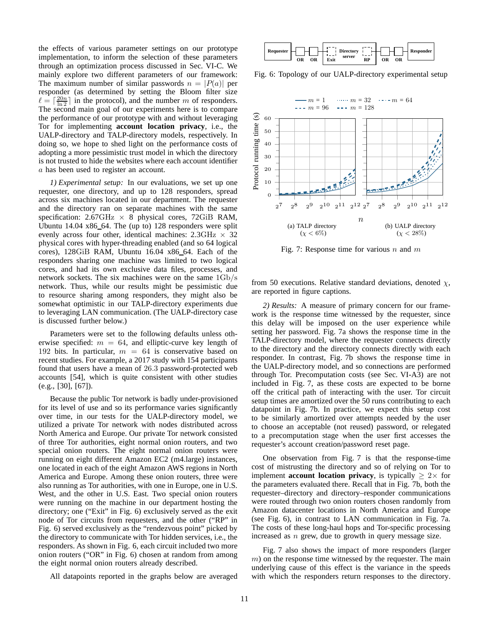the effects of various parameter settings on our prototype implementation, to inform the selection of these parameters through an optimization process discussed in Sec. [VI-C.](#page-11-0) We mainly explore two different parameters of our framework: The maximum number of similar passwords  $n = |P(a)|$  per responder (as determined by setting the Bloom filter size  $\ell = \lceil \frac{20n}{\ln 2} \rceil$  in the protocol), and the number m of responders. The second main goal of our experiments here is to compare the performance of our prototype with and without leveraging Tor for implementing **account location privacy**, i.e., the UALP-directory and TALP-directory models, respectively. In doing so, we hope to shed light on the performance costs of adopting a more pessimistic trust model in which the directory is not trusted to hide the websites where each account identifier a has been used to register an account.

*1) Experimental setup:* In our evaluations, we set up one requester, one directory, and up to 128 responders, spread across six machines located in our department. The requester and the directory ran on separate machines with the same specification:  $2.67\text{GHz} \times 8$  physical cores, 72GiB RAM, Ubuntu  $14.04 \times 86$  64. The (up to) 128 responders were split evenly across four other, identical machines:  $2.3\text{GHz} \times 32$ physical cores with hyper-threading enabled (and so 64 logical cores), 128GiB RAM, Ubuntu 16.04 x86 64. Each of the responders sharing one machine was limited to two logical cores, and had its own exclusive data files, processes, and network sockets. The six machines were on the same 1Gb/s network. Thus, while our results might be pessimistic due to resource sharing among responders, they might also be somewhat optimistic in our TALP-directory experiments due to leveraging LAN communication. (The UALP-directory case is discussed further below.)

Parameters were set to the following defaults unless otherwise specified:  $m = 64$ , and elliptic-curve key length of 192 bits. In particular,  $m = 64$  is conservative based on recent studies. For example, a 2017 study with 154 participants found that users have a mean of 26.3 password-protected web accounts [\[54\]](#page-14-3), which is quite consistent with other studies (e.g., [\[30\]](#page-14-50), [\[67\]](#page-14-51)).

Because the public Tor network is badly under-provisioned for its level of use and so its performance varies significantly over time, in our tests for the UALP-directory model, we utilized a private Tor network with nodes distributed across North America and Europe. Our private Tor network consisted of three Tor authorities, eight normal onion routers, and two special onion routers. The eight normal onion routers were running on eight different Amazon EC2 (m4.large) instances, one located in each of the eight Amazon AWS regions in North America and Europe. Among these onion routers, three were also running as Tor authorities, with one in Europe, one in U.S. West, and the other in U.S. East. Two special onion routers were running on the machine in our department hosting the directory; one ("Exit" in Fig. [6\)](#page-10-0) exclusively served as the exit node of Tor circuits from requesters, and the other ("RP" in Fig. [6\)](#page-10-0) served exclusively as the "rendezvous point" picked by the directory to communicate with Tor hidden services, i.e., the responders. As shown in Fig. [6,](#page-10-0) each circuit included two more onion routers ("OR" in Fig. [6\)](#page-10-0) chosen at random from among the eight normal onion routers already described.

All datapoints reported in the graphs below are averaged

<span id="page-10-0"></span>

Fig. 6: Topology of our UALP-directory experimental setup

<span id="page-10-1"></span>

Fig. 7: Response time for various n and  $m$ 

from 50 executions. Relative standard deviations, denoted  $\chi$ , are reported in figure captions.

*2) Results:* A measure of primary concern for our framework is the response time witnessed by the requester, since this delay will be imposed on the user experience while setting her password. Fig. [7a](#page-10-1) shows the response time in the TALP-directory model, where the requester connects directly to the directory and the directory connects directly with each responder. In contrast, Fig. [7b](#page-10-1) shows the response time in the UALP-directory model, and so connections are performed through Tor. Precomputation costs (see Sec. [VI-A3\)](#page-9-5) are not included in Fig. [7,](#page-10-1) as these costs are expected to be borne off the critical path of interacting with the user. Tor circuit setup times are amortized over the 50 runs contributing to each datapoint in Fig. [7b.](#page-10-1) In practice, we expect this setup cost to be similarly amortized over attempts needed by the user to choose an acceptable (not reused) password, or relegated to a precomputation stage when the user first accesses the requester's account creation/password reset page.

One observation from Fig. [7](#page-10-1) is that the response-time cost of mistrusting the directory and so of relying on Tor to implement **account location privacy**, is typically  $\geq 2 \times$  for the parameters evaluated there. Recall that in Fig. [7b,](#page-10-1) both the requester–directory and directory–responder communications were routed through two onion routers chosen randomly from Amazon datacenter locations in North America and Europe (see Fig. [6\)](#page-10-0), in contrast to LAN communication in Fig. [7a.](#page-10-1) The costs of these long-haul hops and Tor-specific processing increased as n grew, due to growth in query message size.

Fig. [7](#page-10-1) also shows the impact of more responders (larger  $m$ ) on the response time witnessed by the requester. The main underlying cause of this effect is the variance in the speeds with which the responders return responses to the directory.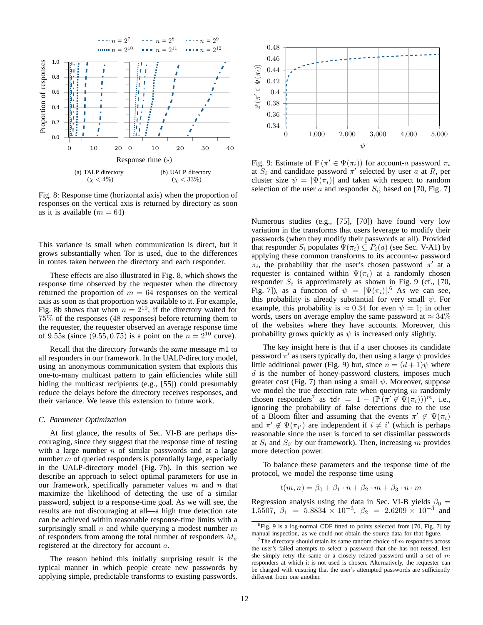<span id="page-11-1"></span>

Fig. 8: Response time (horizontal axis) when the proportion of responses on the vertical axis is returned by directory as soon as it is available  $(m = 64)$ 

This variance is small when communication is direct, but it grows substantially when Tor is used, due to the differences in routes taken between the directory and each responder.

These effects are also illustrated in Fig. [8,](#page-11-1) which shows the response time observed by the requester when the directory returned the proportion of  $m = 64$  responses on the vertical axis as soon as that proportion was available to it. For example, Fig. [8b](#page-11-1) shows that when  $n = 2^{10}$ , if the directory waited for 75% of the responses (48 responses) before returning them to the requester, the requester observed an average response time of 9.55s (since  $(9.55, 0.75)$  is a point on the  $n = 2^{10}$  curve).

Recall that the directory forwards the *same* message [m1](#page-4-6) to all responders in our framework. In the UALP-directory model, using an anonymous communication system that exploits this one-to-many multicast pattern to gain efficiencies while still hiding the multicast recipients (e.g., [\[55\]](#page-14-52)) could presumably reduce the delays before the directory receives responses, and their variance. We leave this extension to future work.

## <span id="page-11-0"></span>*C. Parameter Optimization*

At first glance, the results of Sec. [VI-B](#page-9-6) are perhaps discouraging, since they suggest that the response time of testing with a large number  $n$  of similar passwords and at a large number  $m$  of queried responders is potentially large, especially in the UALP-directory model (Fig. [7b\)](#page-10-1). In this section we describe an approach to select optimal parameters for use in our framework, specifically parameter values  $m$  and  $n$  that maximize the likelihood of detecting the use of a similar password, subject to a response-time goal. As we will see, the results are not discouraging at all—a high true detection rate can be achieved within reasonable response-time limits with a surprisingly small  $n$  and while querying a modest number  $m$ of responders from among the total number of responders  $M_a$ registered at the directory for account a.

The reason behind this initially surprising result is the typical manner in which people create new passwords by applying simple, predictable transforms to existing passwords.

<span id="page-11-2"></span>

Fig. 9: Estimate of  $\mathbb{P}(\pi' \in \Psi(\pi_i))$  for account-a password  $\pi_i$ at  $S_i$  and candidate password  $\pi'$  selected by user a at R, per cluster size  $\psi = |\Psi(\pi_i)|$  and taken with respect to random selection of the user a and responder  $S_i$ ; based on [\[70,](#page-14-4) Fig. 7]

Numerous studies (e.g., [\[75\]](#page-14-44), [\[70\]](#page-14-4)) have found very low variation in the transforms that users leverage to modify their passwords (when they modify their passwords at all). Provided that responder  $S_i$  populates  $\Psi(\pi_i) \subseteq P_i(a)$  (see Sec. [V-A1\)](#page-6-0) by applying these common transforms to its account-a password  $\pi_i$ , the probability that the user's chosen password  $\pi'$  at a requester is contained within  $\Psi(\pi_i)$  at a randomly chosen responder  $S_i$  is approximately as shown in Fig. [9](#page-11-2) (cf., [\[70,](#page-14-4) Fig. 7]), as a function of  $\psi = |\Psi(\pi_i)|$ .<sup>[6](#page-11-3)</sup> As we can see, this probability is already substantial for very small  $\psi$ . For example, this probability is  $\approx 0.34$  for even  $\psi = 1$ ; in other words, users on average employ the same password at  $\approx 34\%$ of the websites where they have accounts. Moreover, this probability grows quickly as  $\psi$  is increased only slightly.

The key insight here is that if a user chooses its candidate password  $\pi'$  as users typically do, then using a large  $\psi$  provides little additional power (Fig. [9\)](#page-11-2) but, since  $n = (d+1)\psi$  where  $d$  is the number of honey-password clusters, imposes much greater cost (Fig. [7\)](#page-10-1) than using a small  $\psi$ . Moreover, suppose we model the true detection rate when querying  $m$  randomly chosen responders<sup>[7](#page-11-4)</sup> as tdr = 1 –  $(\mathbb{P}(\pi' \notin \Psi(\pi_i)))^m$ , i.e., ignoring the probability of false detections due to the use of a Bloom filter and assuming that the events  $\pi' \notin \Psi(\pi_i)$ and  $\pi' \notin \Psi(\pi_{i'})$  are independent if  $i \neq i'$  (which is perhaps reasonable since the user is forced to set dissimilar passwords at  $S_i$  and  $S_{i'}$  by our framework). Then, increasing m provides more detection power.

To balance these parameters and the response time of the protocol, we model the response time using

$$
t(m, n) = \beta_0 + \beta_1 \cdot n + \beta_2 \cdot m + \beta_3 \cdot n \cdot m
$$

Regression analysis using the data in Sec. [VI-B](#page-9-6) yields  $\beta_0$  = 1.5507,  $\beta_1 = 5.8834 \times 10^{-3}$ ,  $\beta_2 = 2.6209 \times 10^{-3}$  and

<span id="page-11-3"></span><sup>6</sup>Fig. [9](#page-11-2) is a log-normal CDF fitted to points selected from [\[70,](#page-14-4) Fig. 7] by manual inspection, as we could not obtain the source data for that figure.

<span id="page-11-4"></span><sup>&</sup>lt;sup>7</sup>The directory should retain its same random choice of  $m$  responders across the user's failed attempts to select a password that she has not reused, lest she simply retry the same or a closely related password until a set of  $m$ responders at which it is not used is chosen. Alternatively, the requester can be charged with ensuring that the user's attempted passwords are sufficiently different from one another.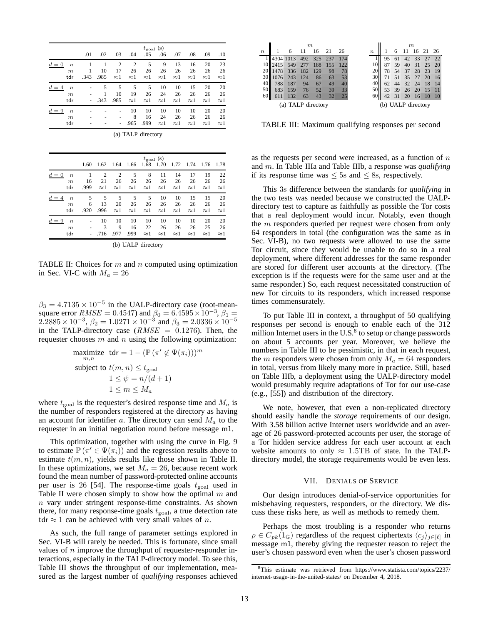<span id="page-12-1"></span>

|       |                                             | .01  | .02             | .03                    | .04                    | .05                    | $t_{\text{goal}}$ (s)<br>.06 | .07                     | .08                     | .09                     | .10                     |
|-------|---------------------------------------------|------|-----------------|------------------------|------------------------|------------------------|------------------------------|-------------------------|-------------------------|-------------------------|-------------------------|
| $d=0$ | $\boldsymbol{n}$<br>$\boldsymbol{m}$<br>tdr | .343 | 1<br>10<br>.985 | 2<br>17<br>$\approx$ 1 | 2<br>26<br>$\approx$ 1 | 5<br>26<br>$\approx$ 1 | 9<br>26<br>$\approx$ 1       | 13<br>26<br>$\approx$ 1 | 16<br>26<br>$\approx$ 1 | 20<br>26<br>$\approx$ 1 | 23<br>26<br>$\approx$ 1 |
| $d=4$ | $\boldsymbol{n}$<br>$\boldsymbol{m}$<br>tdr |      | 5<br>.343       | 5<br>10<br>.985        | 5<br>19<br>$\approx$ 1 | 5<br>26<br>$\approx$ 1 | 10<br>24<br>$\approx$ 1      | 10<br>26<br>$\approx$ 1 | 15<br>26<br>$\approx$ 1 | 20<br>26<br>$\approx$ 1 | 20<br>26<br>$\approx$ 1 |
| $d=9$ | $\boldsymbol{n}$<br>$\boldsymbol{m}$<br>tdr |      |                 |                        | 10<br>8<br>.965        | 10<br>16<br>.999       | 10<br>24<br>$\approx$ 1      | 10<br>26<br>$\approx$ 1 | 10<br>26<br>$\approx$ 1 | 20<br>26<br>$\approx$ 1 | 20<br>26<br>$\approx$ 1 |

(a) TALP directory

|                           |      | $t_{\text{goal}}$ (s) |                |             |             |             |             |             |             |             |  |  |
|---------------------------|------|-----------------------|----------------|-------------|-------------|-------------|-------------|-------------|-------------|-------------|--|--|
|                           | 1.60 | 1.62                  | 1.64 1.66      |             | 1.68        | 1.70        | 1.72        | 1.74        | 1.76        | 1.78        |  |  |
| $d=0$<br>$\boldsymbol{n}$ |      | $\overline{2}$        | $\overline{2}$ | 5           | 8           | 11          | 14          | 17          | 19          | 22          |  |  |
| $\boldsymbol{m}$          | 16   | 21                    | 26             | 26          | 26          | 26          | 26          | 26          | 26          | 26          |  |  |
| tdr                       | .999 | $\approx$ 1           | $\approx$ 1    | $\approx$ 1 | $\approx$ 1 | $\approx$ 1 | $\approx$ 1 | $\approx$ 1 | $\approx$ 1 | $\approx$ 1 |  |  |
| $d=4$<br>$\boldsymbol{n}$ | 5    | 5                     | 5              | 5           | 5           | 10          | 10          | 15          | 15          | 20          |  |  |
| m                         | 6    | 13                    | 20             | 26          | 26          | 26          | 26          | 26          | 26          | 26          |  |  |
| tdr                       | .920 | .996                  | $\approx$ 1    | $\approx$ 1 | $\approx$ 1 | $\approx$ 1 | $\approx$ 1 | $\approx$ 1 | $\approx$ 1 | $\approx$ 1 |  |  |
| $d=9$<br>$\boldsymbol{n}$ |      | 10                    | 10             | 10          | 10          | 10          | 10          | 10          | 20          | 20          |  |  |
| m                         |      | 3                     | 9              | 16          | 22          | 26          | 26          | 26          | 25          | 26          |  |  |
| tdr                       |      | .716                  | .977           | .999        | $\approx$ 1 | $\approx$ 1 | $\approx$ 1 | $\approx$ 1 | $\approx$ 1 | $\approx$ 1 |  |  |

|  |  | (b) UALP directory |
|--|--|--------------------|
|--|--|--------------------|

TABLE II: Choices for  $m$  and  $n$  computed using optimization in Sec. [VI-C](#page-11-0) with  $M_a = 26$ 

 $\beta_3 = 4.7135 \times 10^{-5}$  in the UALP-directory case (root-meansquare error  $RMSE = 0.4547$ ) and  $\beta_0 = 6.4595 \times 10^{-3}$ ,  $\beta_1 =$  $2.2885 \times 10^{-3}$ ,  $\beta_2 = 1.0271 \times 10^{-3}$  and  $\beta_3 = 2.0336 \times 10^{-5}$ in the TALP-directory case  $(RMSE = 0.1276)$ . Then, the requester chooses  $m$  and  $n$  using the following optimization:

$$
\begin{aligned}\n\text{maximize} & \text{tdr} = 1 - \left(\mathbb{P}\left(\pi' \notin \Psi(\pi_i)\right)\right)^m \\
\text{subject to } t(m, n) \le t_{\text{goal}} \\
& 1 \le \psi = n/(d+1) \\
& 1 \le m \le M_a\n\end{aligned}
$$

where  $t_{\text{goal}}$  is the requester's desired response time and  $M_a$  is the number of responders registered at the directory as having an account for identifier a. The directory can send  $M_a$  to the requester in an initial negotiation round before message [m1](#page-4-6).

This optimization, together with using the curve in Fig. [9](#page-11-2) to estimate  $\mathbb{P}(\pi' \in \Psi(\pi_i))$  and the regression results above to estimate  $t(m, n)$ , yields results like those shown in Table [II.](#page-12-1) In these optimizations, we set  $M_a = 26$ , because recent work found the mean number of password-protected online accounts per user is 26 [\[54\]](#page-14-3). The response-time goals  $t_{\text{goal}}$  used in Table [II](#page-12-1) were chosen simply to show how the optimal  $m$  and  $n$  vary under stringent response-time constraints. As shown there, for many response-time goals  $t_{\text{goal}}$ , a true detection rate tdr  $\approx$  1 can be achieved with very small values of *n*.

As such, the full range of parameter settings explored in Sec. [VI-B](#page-9-6) will rarely be needed. This is fortunate, since small values of  $n$  improve the throughput of requester-responder interactions, especially in the TALP-directory model. To see this, Table [III](#page-12-2) shows the throughput of our implementation, measured as the largest number of *qualifying* responses achieved

<span id="page-12-2"></span>

|                    | $\boldsymbol{m}$ |     |     |     |     |     |  |                    |    |    | $\boldsymbol{m}$ |    |    |    |
|--------------------|------------------|-----|-----|-----|-----|-----|--|--------------------|----|----|------------------|----|----|----|
| $\boldsymbol{n}$   |                  | 6   | 11  | 16  | 21  | 26  |  | $\boldsymbol{n}$   |    | 6  |                  | 16 | 21 | 26 |
|                    | 4304 1013        |     | 492 | 325 | 237 | 174 |  |                    | 95 | 61 | 42               | 33 | 27 | 22 |
|                    | 2415             | 549 |     | 188 | 155 | 122 |  | 10                 | 87 | 59 | 40               | 31 | 25 | 20 |
|                    | 1478             | 336 | 182 | 129 | 98  | 78  |  | 20                 | 78 | 54 | 37               | 28 | 23 | 19 |
| 30                 | 1076             | 243 | 124 | 86  | 63  | 53  |  | 30                 | 71 | 51 | 35               | 27 | 20 | 16 |
| 40                 | 788              | 187 | 94  | 67  | 49  | 40  |  | 40                 | 62 | 44 | 32               | 24 | 18 | 14 |
| 50                 | 683              | 159 | 76  | 52  | 39  | 33  |  | 50                 | 53 | 39 | 26               | 20 | 15 | 11 |
|                    |                  | 132 | 63  | 43  | 32  | 25  |  | 60                 |    | 31 | 20               | 16 | 10 | 10 |
| (a) TALP directory |                  |     |     |     |     |     |  | (b) UALP directory |    |    |                  |    |    |    |

TABLE III: Maximum qualifying responses per second

as the requests per second were increased, as a function of  $n$ and m. In Table [IIIa](#page-12-2) and Table [IIIb,](#page-12-2) a response was *qualifying* if its response time was  $\leq 5$ s and  $\leq 8$ s, respectively.

This 3s difference between the standards for *qualifying* in the two tests was needed because we constructed the UALPdirectory test to capture as faithfully as possible the Tor costs that a real deployment would incur. Notably, even though the  $m$  responders queried per request were chosen from only 64 responders in total (the configuration was the same as in Sec. [VI-B\)](#page-9-6), no two requests were allowed to use the same Tor circuit, since they would be unable to do so in a real deployment, where different addresses for the same responder are stored for different user accounts at the directory. (The exception is if the requests were for the same user and at the same responder.) So, each request necessitated construction of new Tor circuits to its responders, which increased response times commensurately.

To put Table [III](#page-12-2) in context, a throughput of 50 qualifying responses per second is enough to enable each of the 312 million Internet users in the U.S. $\frac{8}{3}$  $\frac{8}{3}$  $\frac{8}{3}$  to setup or change passwords on about 5 accounts per year. Moreover, we believe the numbers in Table [III](#page-12-2) to be pessimistic, in that in each request, the m responders were chosen from only  $M_a = 64$  responders in total, versus from likely many more in practice. Still, based on Table [IIIb,](#page-12-2) a deployment using the UALP-directory model would presumably require adaptations of Tor for our use-case (e.g., [\[55\]](#page-14-52)) and distribution of the directory.

We note, however, that even a non-replicated directory should easily handle the *storage* requirements of our design. With 3.58 billion active Internet users worldwide and an average of 26 password-protected accounts per user, the storage of a Tor hidden service address for each user account at each website amounts to only  $\approx 1.5$ TB of state. In the TALPdirectory model, the storage requirements would be even less.

### VII. DENIALS OF SERVICE

<span id="page-12-0"></span>Our design introduces denial-of-service opportunities for misbehaving requesters, responders, or the directory. We discuss these risks here, as well as methods to remedy them.

Perhaps the most troubling is a responder who returns  $\rho \in C_{pk}(1_{\mathbb{G}})$  regardless of the request ciphertexts  $\langle c_j \rangle_{j \in [\ell]}$  in message [m1](#page-4-6), thereby giving the requester reason to reject the user's chosen password even when the user's chosen password

<span id="page-12-3"></span><sup>8</sup>This estimate was retrieved from [https://www.statista.com/topics/2237/](https://www.statista.com/topics/2237/internet-usage-in-the-united-states/) [internet-usage-in-the-united-states/](https://www.statista.com/topics/2237/internet-usage-in-the-united-states/) on December 4, 2018.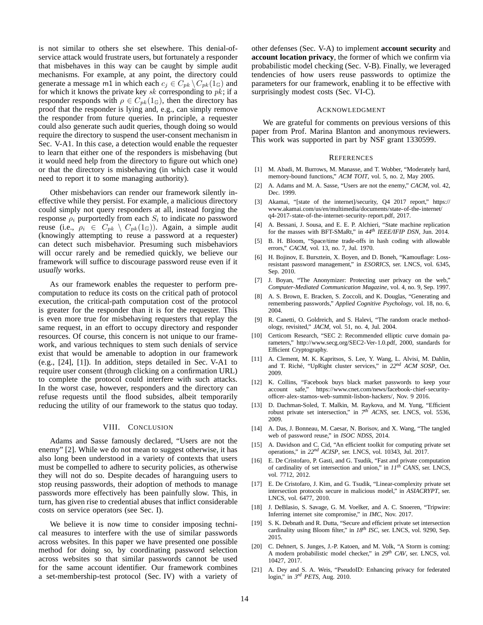is not similar to others she set elsewhere. This denial-ofservice attack would frustrate users, but fortunately a responder that misbehaves in this way can be caught by simple audit mechanisms. For example, at any point, the directory could generate a message [m1](#page-4-6) in which each  $c_j \in C_{pk} \backslash C_{pk}(1_{\mathbb{G}})$  and for which it knows the private key  $sk$  corresponding to  $pk$ ; if a responder responds with  $\rho \in C_{pk}(1_{\mathbb{G}})$ , then the directory has proof that the responder is lying and, e.g., can simply remove the responder from future queries. In principle, a requester could also generate such audit queries, though doing so would require the directory to suspend the user-consent mechanism in Sec. [V-A1.](#page-6-0) In this case, a detection would enable the requester to learn that either one of the responders is misbehaving (but it would need help from the directory to figure out which one) or that the directory is misbehaving (in which case it would need to report it to some managing authority).

Other misbehaviors can render our framework silently ineffective while they persist. For example, a malicious directory could simply not query responders at all, instead forging the response  $\rho_i$  purportedly from each  $S_i$  to indicate *no* password reuse (i.e.,  $\rho_i \in C_{pk} \setminus C_{pk}(1_{\mathbb{G}})$ ). Again, a simple audit (knowingly attempting to reuse a password at a requester) can detect such misbehavior. Presuming such misbehaviors will occur rarely and be remedied quickly, we believe our framework will suffice to discourage password reuse even if it *usually* works.

As our framework enables the requester to perform precomputation to reduce its costs on the critical path of protocol execution, the critical-path computation cost of the protocol is greater for the responder than it is for the requester. This is even more true for misbehaving requesters that replay the same request, in an effort to occupy directory and responder resources. Of course, this concern is not unique to our framework, and various techniques to stem such denials of service exist that would be amenable to adoption in our framework (e.g., [\[24\]](#page-14-53), [\[1\]](#page-13-20)). In addition, steps detailed in Sec. [V-A1](#page-6-0) to require user consent (through clicking on a confirmation URL) to complete the protocol could interfere with such attacks. In the worst case, however, responders and the directory can refuse requests until the flood subsides, albeit temporarily reducing the utility of our framework to the status quo today.

## VIII. CONCLUSION

Adams and Sasse famously declared, "Users are not the enemy" [\[2\]](#page-13-7). While we do not mean to suggest otherwise, it has also long been understood in a variety of contexts that users must be compelled to adhere to security policies, as otherwise they will not do so. Despite decades of haranguing users to stop reusing passwords, their adoption of methods to manage passwords more effectively has been painfully slow. This, in turn, has given rise to credential abuses that inflict considerable costs on service operators (see Sec. [I\)](#page-0-0).

We believe it is now time to consider imposing technical measures to interfere with the use of similar passwords across websites. In this paper we have presented one possible method for doing so, by coordinating password selection across websites so that similar passwords cannot be used for the same account identifier. Our framework combines a set-membership-test protocol (Sec. [IV\)](#page-3-0) with a variety of other defenses (Sec. [V-A\)](#page-5-3) to implement **account security** and **account location privacy**, the former of which we confirm via probabilistic model checking (Sec. [V-B\)](#page-7-0). Finally, we leveraged tendencies of how users reuse passwords to optimize the parameters for our framework, enabling it to be effective with surprisingly modest costs (Sec. [VI-C\)](#page-11-0).

#### ACKNOWLEDGMENT

We are grateful for comments on previous versions of this paper from Prof. Marina Blanton and anonymous reviewers. This work was supported in part by NSF grant 1330599.

#### **REFERENCES**

- <span id="page-13-20"></span>[1] M. Abadi, M. Burrows, M. Manasse, and T. Wobber, "Moderately hard, memory-bound functions," *ACM TOIT*, vol. 5, no. 2, May 2005.
- <span id="page-13-7"></span>[2] A. Adams and M. A. Sasse, "Users are not the enemy," *CACM*, vol. 42, Dec. 1999.
- <span id="page-13-3"></span>[3] Akamai, "[state of the internet]/security, Q4 2017 report," [https://](https://www.akamai.com/us/en/multimedia/documents/state-of-the-internet/q4-2017-state-of-the-internet-security-report.pdf) [www.akamai.com/us/en/multimedia/documents/state-of-the-internet/](https://www.akamai.com/us/en/multimedia/documents/state-of-the-internet/q4-2017-state-of-the-internet-security-report.pdf) [q4-2017-state-of-the-internet-security-report.pdf,](https://www.akamai.com/us/en/multimedia/documents/state-of-the-internet/q4-2017-state-of-the-internet-security-report.pdf) 2017.
- <span id="page-13-16"></span>[4] A. Bessani, J. Sousa, and E. E. P. Alchieri, "State machine replication for the masses with BFT-SMaRt," in *44th IEEE/IFIP DSN*, Jun. 2014.
- <span id="page-13-13"></span>[5] B. H. Bloom, "Space/time trade-offs in hash coding with allowable errors," *CACM*, vol. 13, no. 7, Jul. 1970.
- <span id="page-13-6"></span>[6] H. Bojinov, E. Bursztein, X. Boyen, and D. Boneh, "Kamouflage: Lossresistant password management," in *ESORICS*, ser. LNCS, vol. 6345, Sep. 2010.
- <span id="page-13-15"></span>[7] J. Boyan, "The Anonymizer: Protecting user privacy on the web," *Computer-Mediated Communication Magazine*, vol. 4, no. 9, Sep. 1997.
- <span id="page-13-1"></span>[8] A. S. Brown, E. Bracken, S. Zoccoli, and K. Douglas, "Generating and remembering passwords," *Applied Cognitive Psychology*, vol. 18, no. 6, 2004.
- <span id="page-13-14"></span>[9] R. Canetti, O. Goldreich, and S. Halevi, "The random oracle methodology, revisited," *JACM*, vol. 51, no. 4, Jul. 2004.
- <span id="page-13-19"></span>[10] Certicom Research, "SEC 2: Recommended elliptic curve domain parameters," [http://www.secg.org/SEC2-Ver-1.0.pdf,](http://www.secg.org/SEC2-Ver-1.0.pdf) 2000, standards for Efficient Cryptography.
- <span id="page-13-17"></span>[11] A. Clement, M. K. Kapritsos, S. Lee, Y. Wang, L. Alvisi, M. Dahlin, and T. Riché, "UpRight cluster services," in 22<sup>nd</sup> ACM SOSP, Oct. 2009.
- <span id="page-13-0"></span>[12] K. Collins, "Facebook buys black market passwords to keep your account safe," [https://www.cnet.com/news/facebook-chief-security](https://www.cnet.com/news/facebook-chief-security-officer-alex-stamos-web-summit-lisbon-hackers/)[officer-alex-stamos-web-summit-lisbon-hackers/,](https://www.cnet.com/news/facebook-chief-security-officer-alex-stamos-web-summit-lisbon-hackers/) Nov. 9 2016.
- <span id="page-13-9"></span>[13] D. Dachman-Soled, T. Malkin, M. Raykova, and M. Yung, "Efficient robust private set intersection," in  $7<sup>th</sup>$  *ACNS*, ser. LNCS, vol. 5536, 2009.
- <span id="page-13-2"></span>[14] A. Das, J. Bonneau, M. Caesar, N. Borisov, and X. Wang, "The tangled web of password reuse," in *ISOC NDSS*, 2014.
- <span id="page-13-10"></span>[15] A. Davidson and C. Cid, "An efficient toolkit for computing private set operations," in *22nd ACISP*, ser. LNCS, vol. 10343, Jul. 2017.
- <span id="page-13-11"></span>[16] E. De Cristofaro, P. Gasti, and G. Tsudik, "Fast and private computation of cardinality of set intersection and union," in *11th CANS*, ser. LNCS, vol. 7712, 2012.
- <span id="page-13-8"></span>[17] E. De Cristofaro, J. Kim, and G. Tsudik, "Linear-complexity private set intersection protocols secure in malicious model," in *ASIACRYPT*, ser. LNCS, vol. 6477, 2010.
- <span id="page-13-5"></span>[18] J. DeBlasio, S. Savage, G. M. Voelker, and A. C. Snoeren, "Tripwire: Inferring internet site compromise," in *IMC*, Nov. 2017.
- <span id="page-13-12"></span>[19] S. K. Debnath and R. Dutta, "Secure and efficient private set intersection cardinality using Bloom filter," in *18th ISC*, ser. LNCS, vol. 9290, Sep. 2015.
- <span id="page-13-18"></span>[20] C. Dehnert, S. Junges, J.-P. Katoen, and M. Volk, "A Storm is coming: A modern probabilistic model checker," in *29th CAV*, ser. LNCS, vol. 10427, 2017.
- <span id="page-13-4"></span>[21] A. Dey and S. A. Weis, "PseudoID: Enhancing privacy for federated login," in *3 rd PETS*, Aug. 2010.